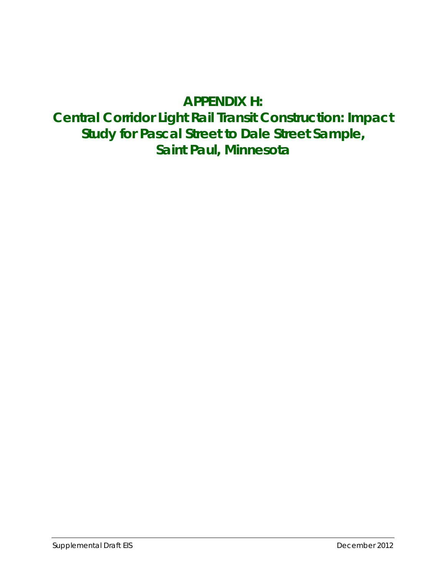# **APPENDIX H:**

# **Central Corridor Light Rail Transit Construction: Impact Study for Pascal Street to Dale Street Sample, Saint Paul, Minnesota**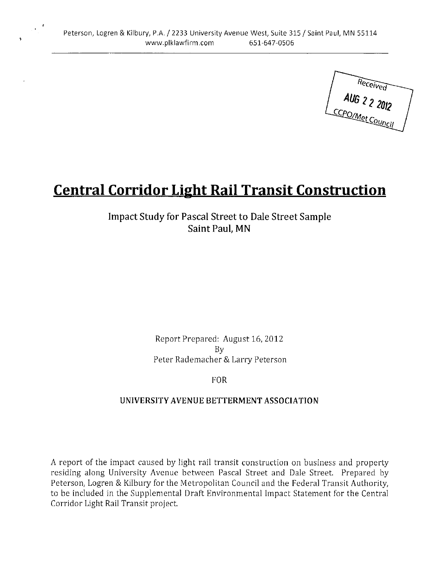Received<br>AUG 2 2 2012

# **Central Corridor Light Rail Transit Construction**

**Impact Study for Pascal Street to Dale Street Sample** Saint Paul, MN

> Report Prepared: August 16, 2012 By Peter Rademacher & Larry Peterson

> > **FOR**

#### UNIVERSITY AVENUE BETTERMENT ASSOCIATION

A report of the impact caused by light rail transit construction on business and property residing along University Avenue between Pascal Street and Dale Street. Prepared by Peterson, Logren & Kilbury for the Metropolitan Council and the Federal Transit Authority, to be included in the Supplemental Draft Environmental Impact Statement for the Central Corridor Light Rail Transit project.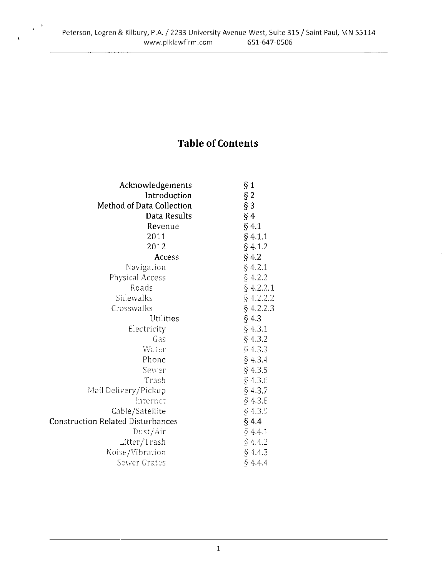$\chi^{(0,3)}$ 

# **Table of Contents**

| Acknowledgements                         | § 1         |
|------------------------------------------|-------------|
| Introduction                             | $§$ 2       |
| Method of Data Collection                | $§$ 3       |
| Data Results                             | §4          |
| Revenue                                  | $§$ 4.1     |
| 2011                                     | § 4.1.1     |
| 2012                                     | § 4.1.2     |
| Access                                   | $§$ 4.2     |
| Navigation                               | $§$ 4.2.1   |
| Physical Access                          | § 4.2.2     |
| Roads                                    | $§$ 4.2.2.1 |
| Sidewalks                                | $§$ 4.2.2.2 |
| Crosswalks                               | $§$ 4.2.2.3 |
| Utilities                                | § 43        |
| Electricity                              | §4.3.1      |
| Gas                                      | § 4.3.2     |
| Water                                    | § 4.3.3     |
| Phone                                    | § 4.3.4     |
| Sewer                                    | $§$ 4.3.5   |
| Trash                                    | $§$ 4.3.6   |
| Mail Delivery/Pickup                     | $§$ 4.3.7   |
| Internet                                 | § 4.3.8     |
| Cable/Satellite                          | § 4.3.9     |
| <b>Construction Related Disturbances</b> | § 44        |
| Dust/Air                                 | § 4.4.1     |
| Litter/Trash                             | § 4.4.2     |
| Noise/Vibration                          | § 4.43      |
| Sewer Grates                             | § 4.4.4     |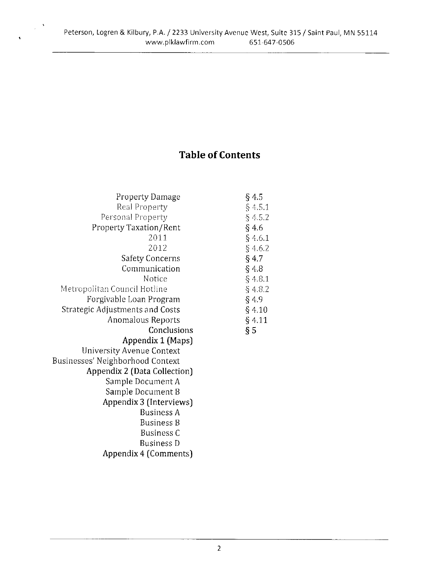# **Table of Contents**

| Property Damage                  | §45      |
|----------------------------------|----------|
| Real Property                    | § 4.5.1  |
| Personal Property                | § 452    |
| Property Taxation/Rent           | §4.6     |
| 2011                             | § 4.6.1  |
| 2012                             | § 4.62   |
| <b>Safety Concerns</b>           | $§$ 4.7  |
| Communication                    | § 4.8    |
| Notice                           | § 4.81   |
| Metropolitan Council Hotline     | § 4.82   |
| Forgivable Loan Program          | §4.9     |
| Strategic Adjustments and Costs  | § 4.10   |
| Anomalous Reports                | $§$ 4 11 |
|                                  |          |
| Conclusions                      | § 5      |
| Appendix 1 (Maps)                |          |
| University Avenue Context        |          |
| Businesses' Neighborhood Context |          |
| Appendix 2 (Data Collection)     |          |
| Sample Document A                |          |
| Sample Document B                |          |
| Appendix 3 (Interviews)          |          |
| <b>Business A</b>                |          |
| <b>Business B</b>                |          |
| <b>Business C</b>                |          |
| <b>Business D</b>                |          |

 $\hat{\boldsymbol{\beta}}$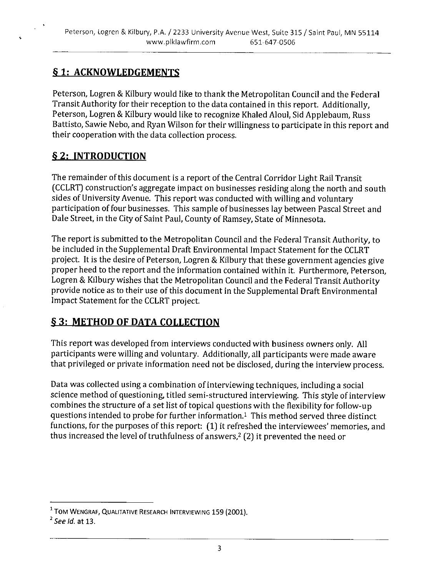#### **§1: ACKNOWLEDGEMENTS**

Peterson, Logren & Kilbury would like to thank the Metropolitan Council and the Federal Transit Authority for their reception to the data contained in this report. Additionally, Peterson, Logren & Kilbury would like to recognize Khaled Aloul, Sid Applebaum, Russ Battisto, Sawie Nebo, and Ryan Wilson for their willingness to participate in this report and their cooperation with the data collection process.

#### § 2: INTRODUCTION

The remainder of this document is a report of the Central Corridor Light Rail Transit (CCLRT) construction's aggregate impact on businesses residing along the north and south sides of University Avenue. This report was conducted with willing and voluntary participation of four businesses. This sample of businesses lay between Pascal Street and Dale Street, in the City of Saint Paul, County of Ramsey, State of Minnesota.

The report is submitted to the Metropolitan Council and the Federal Transit Authority, to be included in the Supplemental Draft Environmental Impact Statement for the CCLRT project. It is the desire of Peterson, Logren & Kilbury that these government agencies give proper heed to the report and the information contained within it. Furthermore, Peterson, Logren & Kilbury wishes that the Metropolitan Council and the Federal Transit Authority provide notice as to their use of this document in the Supplemental Draft Environmental Impact Statement for the CCLRT project.

# **§3: METHOD OF DATA COLLECTION**

This report was developed from interviews conducted with business owners only. All participants were willing and voluntary. Additionally, all participants were made aware that privileged or private information need not be disclosed, during the interview process.

Data was collected using a combination of interviewing techniques, including a social science method of questioning, titled semi-structured interviewing. This style of interview combines the structure of a set list of topical questions with the flexibility for follow-up questions intended to probe for further information.<sup>1</sup> This method served three distinct functions, for the purposes of this report: (1) it refreshed the interviewees' memories, and thus increased the level of truthfulness of answers,<sup>2</sup> (2) it prevented the need or

<sup>&</sup>lt;sup>1</sup> TOM WENGRAF, QUALITATIVE RESEARCH INTERVIEWING 159 (2001).

 $<sup>2</sup>$  See Id. at 13.</sup>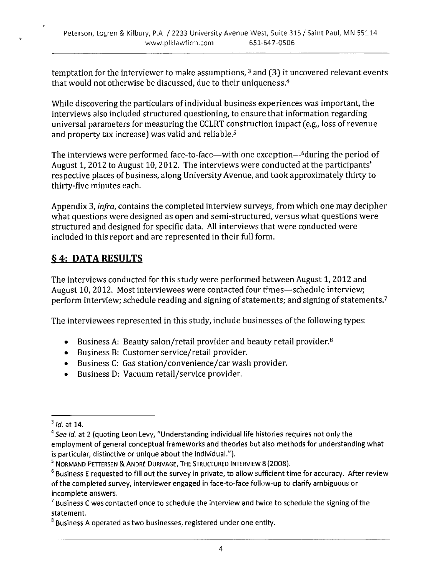temptation for the interviewer to make assumptions,  $3$  and (3) it uncovered relevant events that would not otherwise be discussed, due to their uniqueness.<sup>4</sup>

While discovering the particulars of individual business experiences was important, the interviews also included structured questioning, to ensure that information regarding universal parameters for measuring the CCLRT construction impact (e.g., loss of revenue and property tax increase) was valid and reliable.<sup>5</sup>

The interviews were performed face-to-face—with one exception—<sup>6</sup>during the period of August 1, 2012 to August 10, 2012. The interviews were conducted at the participants' respective places of business, along University Avenue, and took approximately thirty to thirty-five minutes each.

Appendix 3, infra, contains the completed interview surveys, from which one may decipher what questions were designed as open and semi-structured, versus what questions were structured and designed for specific data. All interviews that were conducted were included in this report and are represented in their full form.

### § 4: DATA RESULTS

The interviews conducted for this study were performed between August 1, 2012 and August 10, 2012. Most interviewees were contacted four times-schedule interview; perform interview; schedule reading and signing of statements; and signing of statements.<sup>7</sup>

The interviewees represented in this study, include businesses of the following types:

- Business A: Beauty salon/retail provider and beauty retail provider. $8$  $\bullet$
- Business B: Customer service/retail provider.
- Business C: Gas station/convenience/car wash provider.  $\bullet$
- Business D: Vacuum retail/service provider.

 $<sup>3</sup>$  Id. at 14.</sup>

<sup>&</sup>lt;sup>4</sup> See Id. at 2 (quoting Leon Levy, "Understanding individual life histories requires not only the employment of general conceptual frameworks and theories but also methods for understanding what is particular, distinctive or unique about the individual.").

<sup>&</sup>lt;sup>5</sup> NORMAND PETTERSEN & ANDRÉ DURIVAGE, THE STRUCTURED INTERVIEW 8 (2008).

<sup>&</sup>lt;sup>6</sup> Business E requested to fill out the survey in private, to allow sufficient time for accuracy. After review of the completed survey, interviewer engaged in face-to-face follow-up to clarify ambiguous or incomplete answers.

 $^7$  Business C was contacted once to schedule the interview and twice to schedule the signing of the statement.

<sup>&</sup>lt;sup>8</sup> Business A operated as two businesses, registered under one entity.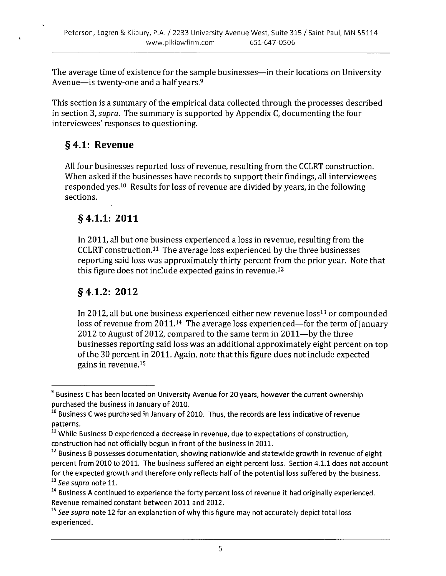The average time of existence for the sample businesses—in their locations on University Avenue-is twenty-one and a half years.<sup>9</sup>

This section is a summary of the empirical data collected through the processes described in section 3, *supra*. The summary is supported by Appendix C, documenting the four interviewees' responses to questioning.

### $§ 4.1:$  Revenue

All four businesses reported loss of revenue, resulting from the CCLRT construction. When asked if the businesses have records to support their findings, all interviewees responded yes.<sup>10</sup> Results for loss of revenue are divided by years, in the following sections.

#### $§ 4.1.1: 2011$

In 2011, all but one business experienced a loss in revenue, resulting from the CCLRT construction.<sup>11</sup> The average loss experienced by the three businesses reporting said loss was approximately thirty percent from the prior year. Note that this figure does not include expected gains in revenue.<sup>12</sup>

#### $§$  4.1.2: 2012

In 2012, all but one business experienced either new revenue loss<sup>13</sup> or compounded loss of revenue from 2011.<sup>14</sup> The average loss experienced—for the term of January 2012 to August of 2012, compared to the same term in 2011—by the three businesses reporting said loss was an additional approximately eight percent on top of the 30 percent in 2011. Again, note that this figure does not include expected gains in revenue.<sup>15</sup>

<sup>&</sup>lt;sup>9</sup> Business C has been located on University Avenue for 20 years, however the current ownership purchased the business in January of 2010.

<sup>&</sup>lt;sup>10</sup> Business C was purchased in January of 2010. Thus, the records are less indicative of revenue patterns.

<sup>&</sup>lt;sup>11</sup> While Business D experienced a decrease in revenue, due to expectations of construction, construction had not officially begun in front of the business in 2011.

 $12$  Business B possesses documentation, showing nationwide and statewide growth in revenue of eight percent from 2010 to 2011. The business suffered an eight percent loss. Section 4.1.1 does not account for the expected growth and therefore only reflects half of the potential loss suffered by the business.  $13$  See supra note 11.

<sup>&</sup>lt;sup>14</sup> Business A continued to experience the forty percent loss of revenue it had originally experienced. Revenue remained constant between 2011 and 2012.

<sup>&</sup>lt;sup>15</sup> See supra note 12 for an explanation of why this figure may not accurately depict total loss experienced.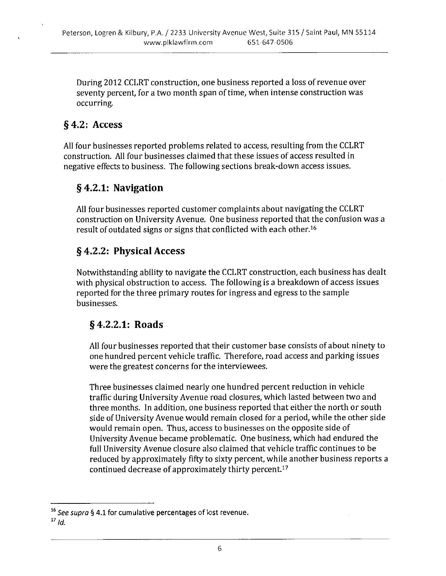During 2012 CCLRT construction, one business reported a loss of revenue over seventy percent, for a two month span of time, when intense construction was occurring.

### §4.2: Access

All four businesses reported problems related to access, resulting from the CCLRT construction. All four businesses claimed that these issues of access resulted in negative effects to business. The following sections break-down access issues.

#### §4.2.1: Navigation

All four businesses reported customer complaints about navigating the CCLRT construction on University Avenue. One business reported that the confusion was a result of outdated signs or signs that conflicted with each other.<sup>16</sup>

#### § 4.2.2: Physical Access

Notwithstanding ability to navigate the CCLRT construction, each business has dealt with physical obstruction to access. The following is a breakdown of access issues reported for the three primary routes for ingress and egress to the sample businesses.

#### §4.2.2.1: Roads

All four businesses reported that their customer base consists of about ninety to one hundred percent vehicle traffic. Therefore, road access and parking issues were the greatest concerns for the interviewees.

Three businesses claimed nearly one hundred percent reduction in vehicle traffic during University Avenue road closures, which lasted between two and three months. In addition, one business reported that either the north or south side of University Avenue would remain closed for a period, while the other side would remain open. Thus, access to businesses on the opposite side of University Avenue became problematic. One business, which had endured the full University Avenue closure also claimed that vehicle traffic continues to be reduced by approximately fifty to sixty percent, while another business reports a continued decrease of approximately thirty percent.<sup>17</sup>

<sup>&</sup>lt;sup>16</sup> See supra § 4.1 for cumulative percentages of lost revenue.

 $17$  Id.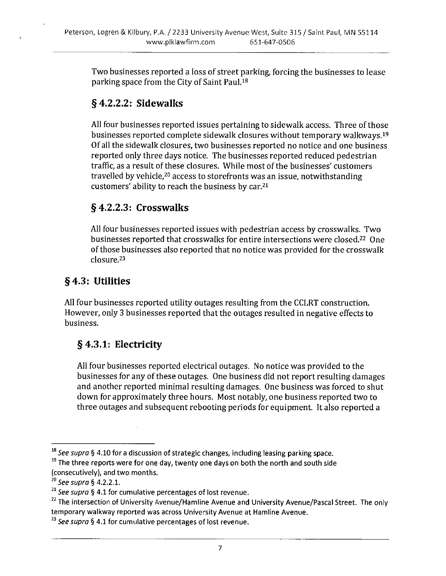Two businesses reported a loss of street parking, forcing the businesses to lease parking space from the City of Saint Paul.<sup>18</sup>

### $§$  4.2.2.2: Sidewalks

All four businesses reported issues pertaining to sidewalk access. Three of those businesses reported complete sidewalk closures without temporary walkways.<sup>19</sup> Of all the sidewalk closures, two businesses reported no notice and one business reported only three days notice. The businesses reported reduced pedestrian traffic, as a result of these closures. While most of the businesses' customers travelled by vehicle,<sup>20</sup> access to storefronts was an issue, notwithstanding customers' ability to reach the business by car.<sup>21</sup>

### $§$  4.2.2.3: Crosswalks

All four businesses reported issues with pedestrian access by crosswalks. Two businesses reported that crosswalks for entire intersections were closed.<sup>22</sup> One of those businesses also reported that no notice was provided for the crosswalk closure.<sup>23</sup>

# §4.3: Utilities

All four businesses reported utility outages resulting from the CCLRT construction. However, only 3 businesses reported that the outages resulted in negative effects to business.

# § 4.3.1: Electricity

All four businesses reported electrical outages. No notice was provided to the businesses for any of these outages. One business did not report resulting damages and another reported minimal resulting damages. One business was forced to shut down for approximately three hours. Most notably, one business reported two to three outages and subsequent rebooting periods for equipment. It also reported a

<sup>&</sup>lt;sup>18</sup> See supra § 4.10 for a discussion of strategic changes, including leasing parking space.

<sup>&</sup>lt;sup>19</sup> The three reports were for one day, twenty one days on both the north and south side (consecutively), and two months.

<sup>&</sup>lt;sup>20</sup> See supra § 4.2.2.1.

<sup>&</sup>lt;sup>21</sup> See supra § 4.1 for cumulative percentages of lost revenue.

<sup>&</sup>lt;sup>22</sup> The intersection of University Avenue/Hamline Avenue and University Avenue/Pascal Street. The only temporary walkway reported was across University Avenue at Hamline Avenue.

<sup>&</sup>lt;sup>23</sup> See supra § 4.1 for cumulative percentages of lost revenue.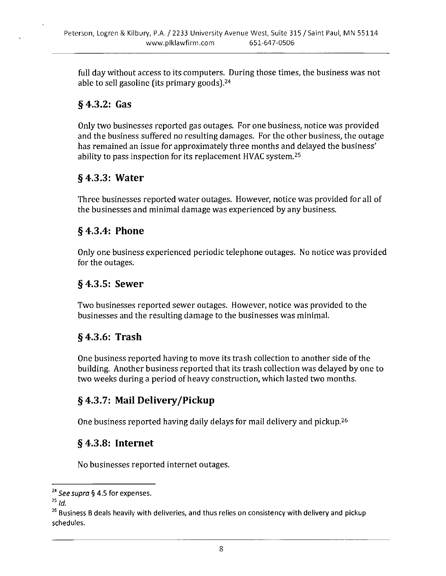full day without access to its computers. During those times, the business was not able to sell gasoline (its primary goods).<sup>24</sup>

#### $§$  4.3.2: Gas

Only two businesses reported gas outages. For one business, notice was provided and the business suffered no resulting damages. For the other business, the outage has remained an issue for approximately three months and delayed the business' ability to pass inspection for its replacement HVAC system.<sup>25</sup>

#### $§$  4.3.3: Water

Three businesses reported water outages. However, notice was provided for all of the businesses and minimal damage was experienced by any business.

#### $§$  4.3.4: Phone

Only one business experienced periodic telephone outages. No notice was provided for the outages.

#### $§$  4.3.5: Sewer

Two businesses reported sewer outages. However, notice was provided to the businesses and the resulting damage to the businesses was minimal.

#### $§$ 4.3.6: Trash

One business reported having to move its trash collection to another side of the building. Another business reported that its trash collection was delayed by one to two weeks during a period of heavy construction, which lasted two months.

#### §4.3.7: Mail Delivery/Pickup

One business reported having daily delays for mail delivery and pickup.<sup>26</sup>

#### $§$  4.3.8: Internet

No businesses reported internet outages.

<sup>&</sup>lt;sup>24</sup> See supra § 4.5 for expenses.

 $^{25}$  Id.

<sup>&</sup>lt;sup>26</sup> Business B deals heavily with deliveries, and thus relies on consistency with delivery and pickup schedules.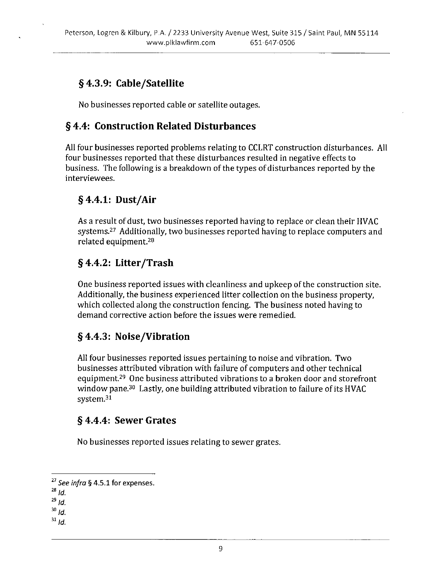# § 4.3.9: Cable/Satellite

No businesses reported cable or satellite outages.

#### §4.4: Construction Related Disturbances

All four businesses reported problems relating to CCLRT construction disturbances. All four businesses reported that these disturbances resulted in negative effects to business. The following is a breakdown of the types of disturbances reported by the interviewees.

### $§$  4.4.1: Dust/Air

As a result of dust, two businesses reported having to replace or clean their HVAC systems.<sup>27</sup> Additionally, two businesses reported having to replace computers and related equipment.<sup>28</sup>

#### § 4.4.2: Litter/Trash

One business reported issues with cleanliness and upkeep of the construction site. Additionally, the business experienced litter collection on the business property, which collected along the construction fencing. The business noted having to demand corrective action before the issues were remedied.

#### §4.4.3: Noise/Vibration

All four businesses reported issues pertaining to noise and vibration. Two businesses attributed vibration with failure of computers and other technical equipment.<sup>29</sup> One business attributed vibrations to a broken door and storefront window pane.<sup>30</sup> Lastly, one building attributed vibration to failure of its HVAC system.<sup>31</sup>

#### § 4.4.4: Sewer Grates

No businesses reported issues relating to sewer grates.

<sup>&</sup>lt;sup>27</sup> See infra § 4.5.1 for expenses.

 $^{28}$  Id.

 $^{29}$  Id.

 $30$  Id.

 $31$  ld.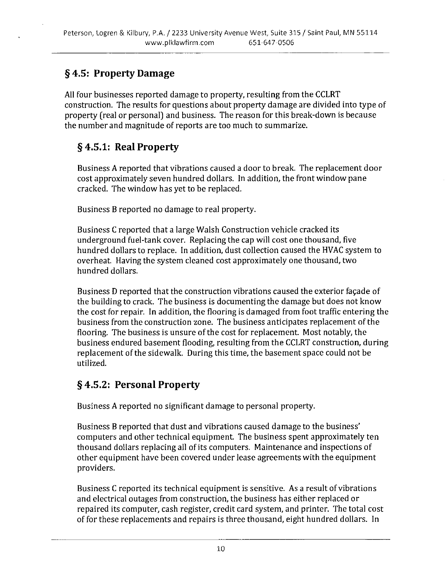# §4.5: Property Damage

All four businesses reported damage to property, resulting from the CCLRT construction. The results for questions about property damage are divided into type of property (real or personal) and business. The reason for this break-down is because the number and magnitude of reports are too much to summarize.

# § 4.5.1: Real Property

Business A reported that vibrations caused a door to break. The replacement door cost approximately seven hundred dollars. In addition, the front window pane cracked. The window has yet to be replaced.

Business B reported no damage to real property.

Business C reported that a large Walsh Construction vehicle cracked its underground fuel-tank cover. Replacing the cap will cost one thousand, five hundred dollars to replace. In addition, dust collection caused the HVAC system to overheat. Having the system cleaned cost approximately one thousand, two hundred dollars.

Business D reported that the construction vibrations caused the exterior façade of the building to crack. The business is documenting the damage but does not know the cost for repair. In addition, the flooring is damaged from foot traffic entering the business from the construction zone. The business anticipates replacement of the flooring. The business is unsure of the cost for replacement. Most notably, the business endured basement flooding, resulting from the CCLRT construction, during replacement of the sidewalk. During this time, the basement space could not be utilized.

# §4.5.2: Personal Property

Business A reported no significant damage to personal property.

Business B reported that dust and vibrations caused damage to the business' computers and other technical equipment. The business spent approximately ten thousand dollars replacing all of its computers. Maintenance and inspections of other equipment have been covered under lease agreements with the equipment providers.

Business C reported its technical equipment is sensitive. As a result of vibrations and electrical outages from construction, the business has either replaced or repaired its computer, cash register, credit card system, and printer. The total cost of for these replacements and repairs is three thousand, eight hundred dollars. In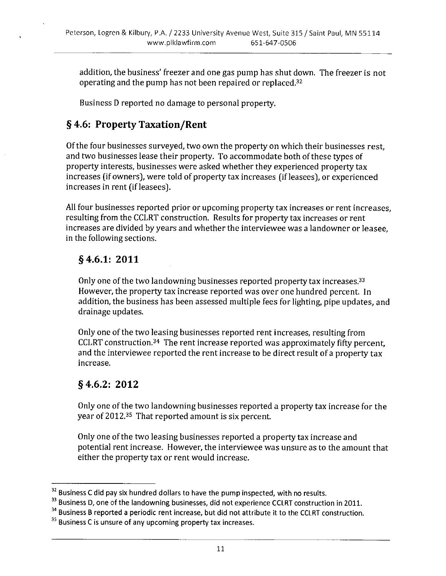addition, the business' freezer and one gas pump has shut down. The freezer is not operating and the pump has not been repaired or replaced.<sup>32</sup>

Business D reported no damage to personal property.

# § 4.6: Property Taxation/Rent

Of the four businesses surveyed, two own the property on which their businesses rest, and two businesses lease their property. To accommodate both of these types of property interests, businesses were asked whether they experienced property tax increases (if owners), were told of property tax increases (if leasees), or experienced increases in rent (if leasees).

All four businesses reported prior or upcoming property tax increases or rent increases, resulting from the CCLRT construction. Results for property tax increases or rent increases are divided by years and whether the interviewee was a landowner or leasee. in the following sections.

### $§$  4.6.1: 2011

Only one of the two landowning businesses reported property tax increases.<sup>33</sup> However, the property tax increase reported was over one hundred percent. In addition, the business has been assessed multiple fees for lighting, pipe updates, and drainage updates.

Only one of the two leasing businesses reported rent increases, resulting from CCLRT construction.<sup>34</sup> The rent increase reported was approximately fifty percent, and the interviewee reported the rent increase to be direct result of a property tax increase.

#### $§$  4.6.2: 2012

Only one of the two landowning businesses reported a property tax increase for the year of 2012.<sup>35</sup> That reported amount is six percent.

Only one of the two leasing businesses reported a property tax increase and potential rent increase. However, the interviewee was unsure as to the amount that either the property tax or rent would increase.

<sup>&</sup>lt;sup>32</sup> Business C did pay six hundred dollars to have the pump inspected, with no results.

<sup>&</sup>lt;sup>33</sup> Business D, one of the landowning businesses, did not experience CCLRT construction in 2011.

<sup>&</sup>lt;sup>34</sup> Business B reported a periodic rent increase, but did not attribute it to the CCLRT construction.

<sup>&</sup>lt;sup>35</sup> Business C is unsure of any upcoming property tax increases.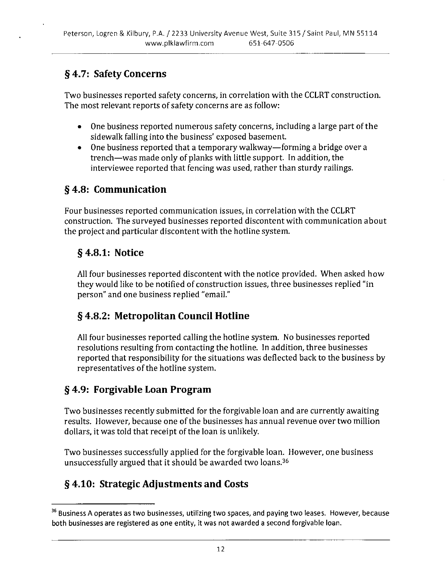# § 4.7: Safety Concerns

Two businesses reported safety concerns, in correlation with the CCLRT construction. The most relevant reports of safety concerns are as follow:

- One business reported numerous safety concerns, including a large part of the sidewalk falling into the business' exposed basement.
- One business reported that a temporary walkway—forming a bridge over a trench-was made only of planks with little support. In addition, the interviewee reported that fencing was used, rather than sturdy railings.

# § 4.8: Communication

Four businesses reported communication issues, in correlation with the CCLRT construction. The surveyed businesses reported discontent with communication about the project and particular discontent with the hotline system.

# $§$  4.8.1: Notice

All four businesses reported discontent with the notice provided. When asked how they would like to be notified of construction issues, three businesses replied "in person" and one business replied "email."

# §4.8.2: Metropolitan Council Hotline

All four businesses reported calling the hotline system. No businesses reported resolutions resulting from contacting the hotline. In addition, three businesses reported that responsibility for the situations was deflected back to the business by representatives of the hotline system.

# § 4.9: Forgivable Loan Program

Two businesses recently submitted for the forgivable loan and are currently awaiting results. However, because one of the businesses has annual revenue over two million dollars, it was told that receipt of the loan is unlikely.

Two businesses successfully applied for the forgivable loan. However, one business unsuccessfully argued that it should be awarded two loans.<sup>36</sup>

# §4.10: Strategic Adjustments and Costs

<sup>&</sup>lt;sup>36</sup> Business A operates as two businesses, utilizing two spaces, and paying two leases. However, because both businesses are registered as one entity, it was not awarded a second forgivable loan.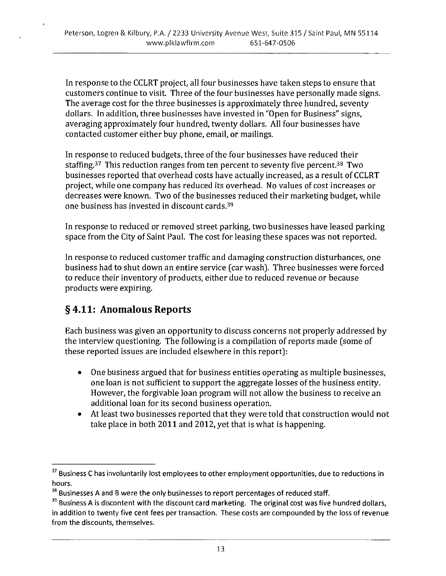In response to the CCLRT project, all four businesses have taken steps to ensure that customers continue to visit. Three of the four businesses have personally made signs. The average cost for the three businesses is approximately three hundred, seventy dollars. In addition, three businesses have invested in "Open for Business" signs, averaging approximately four hundred, twenty dollars. All four businesses have contacted customer either buy phone, email, or mailings.

In response to reduced budgets, three of the four businesses have reduced their staffing.<sup>37</sup> This reduction ranges from ten percent to seventy five percent.<sup>38</sup> Two businesses reported that overhead costs have actually increased, as a result of CCLRT project, while one company has reduced its overhead. No values of cost increases or decreases were known. Two of the businesses reduced their marketing budget, while one business has invested in discount cards.<sup>39</sup>

In response to reduced or removed street parking, two businesses have leased parking space from the City of Saint Paul. The cost for leasing these spaces was not reported.

In response to reduced customer traffic and damaging construction disturbances, one business had to shut down an entire service (car wash). Three businesses were forced to reduce their inventory of products, either due to reduced revenue or because products were expiring.

# §4.11: Anomalous Reports

Each business was given an opportunity to discuss concerns not properly addressed by the interview questioning. The following is a compilation of reports made (some of these reported issues are included elsewhere in this report):

- One business argued that for business entities operating as multiple businesses, one loan is not sufficient to support the aggregate losses of the business entity. However, the forgivable loan program will not allow the business to receive an additional loan for its second business operation.
- At least two businesses reported that they were told that construction would not  $\bullet$ take place in both 2011 and 2012, yet that is what is happening.

<sup>&</sup>lt;sup>37</sup> Business C has involuntarily lost employees to other employment opportunities, due to reductions in hours.

<sup>&</sup>lt;sup>38</sup> Businesses A and B were the only businesses to report percentages of reduced staff.

<sup>&</sup>lt;sup>39</sup> Business A is discontent with the discount card marketing. The original cost was five hundred dollars, in addition to twenty five cent fees per transaction. These costs are compounded by the loss of revenue from the discounts, themselves.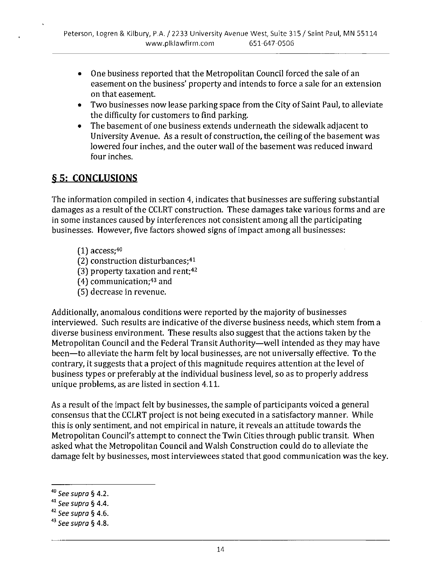- One business reported that the Metropolitan Council forced the sale of an easement on the business' property and intends to force a sale for an extension on that easement.
- Two businesses now lease parking space from the City of Saint Paul, to alleviate the difficulty for customers to find parking.
- The basement of one business extends underneath the sidewalk adjacent to University Avenue. As a result of construction, the ceiling of the basement was lowered four inches, and the outer wall of the basement was reduced inward four inches.

### § 5: CONCLUSIONS

The information compiled in section 4, indicates that businesses are suffering substantial damages as a result of the CCLRT construction. These damages take various forms and are in some instances caused by interferences not consistent among all the participating businesses. However, five factors showed signs of impact among all businesses:

- $(1)$  access; 40
- (2) construction disturbances;<sup>41</sup>
- (3) property taxation and rent;<sup>42</sup>
- $(4)$  communication;<sup>43</sup> and
- (5) decrease in revenue.

Additionally, anomalous conditions were reported by the majority of businesses interviewed. Such results are indicative of the diverse business needs, which stem from a diverse business environment. These results also suggest that the actions taken by the Metropolitan Council and the Federal Transit Authority—well intended as they may have been-to alleviate the harm felt by local businesses, are not universally effective. To the contrary, it suggests that a project of this magnitude requires attention at the level of business types or preferably at the individual business level, so as to properly address unique problems, as are listed in section 4.11.

As a result of the impact felt by businesses, the sample of participants voiced a general consensus that the CCLRT project is not being executed in a satisfactory manner. While this is only sentiment, and not empirical in nature, it reveals an attitude towards the Metropolitan Council's attempt to connect the Twin Cities through public transit. When asked what the Metropolitan Council and Walsh Construction could do to alleviate the damage felt by businesses, most interviewees stated that good communication was the key.

 $41$  See supra § 4.4.

 $40$  See supra § 4.2.

 $42$  See supra § 4.6.

 $43$  See supra § 4.8.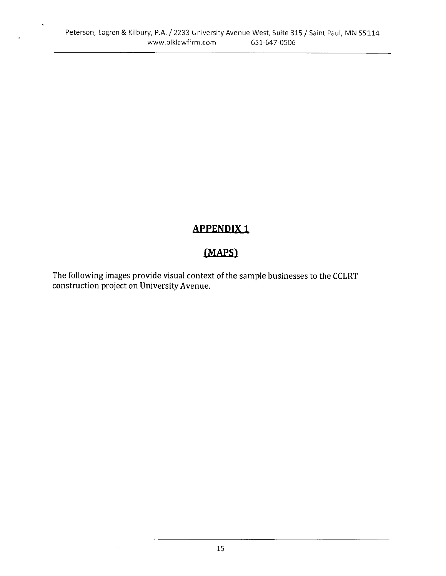$\ddot{\phantom{0}}$ 

# **APPENDIX1**

# (MAPS)

The following images provide visual context of the sample businesses to the CCLRT construction project on University Avenue.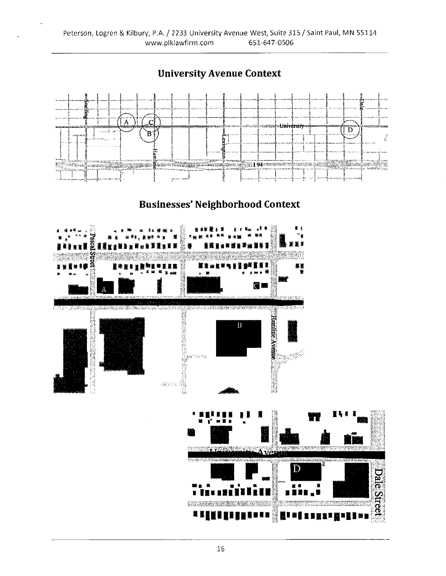Ä .C Univ rsit  $\overline{D}$  $_{\rm B}$ ğ **A** Prove Mathematic Construction (1941) and the Mathematic Construction (1941) and the Construction (1941) and the Construction (1941) and the Construction (1941) and the Construction (1941) and the Construction (1941) an ≣ĝ L. postil sagage Kliman. isne sidr <u>نتقاطعت</u> **Businesses' Neighborhood Context** CL **Commercia** Social television in contract of Ï Hanime Avenie  $\boldsymbol{B}$ **ARCHITECTS** pre<sup>nt</sup> gallande na 1993.<br>Sta ÷ D **Dale Street** 

# **University Avenue Context**

19 5 5 5 5 6 5 6 5 6 7 8 9 8

H

FUCEBER HALFA

**Manuszar (1988)**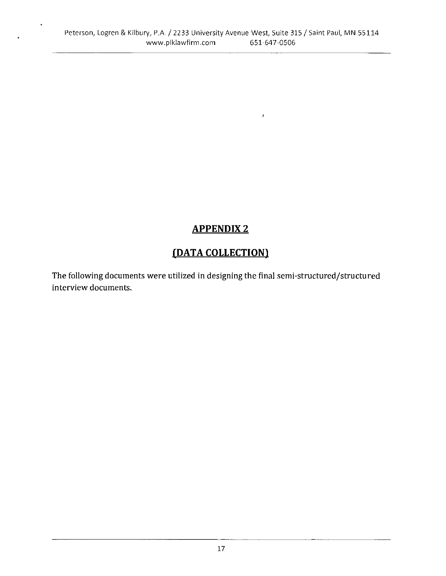$\bar{I}$ 

# **APPENDIX 2**

# (DATA COLLECTION)

The following documents were utilized in designing the final semi-structured/structured interview documents.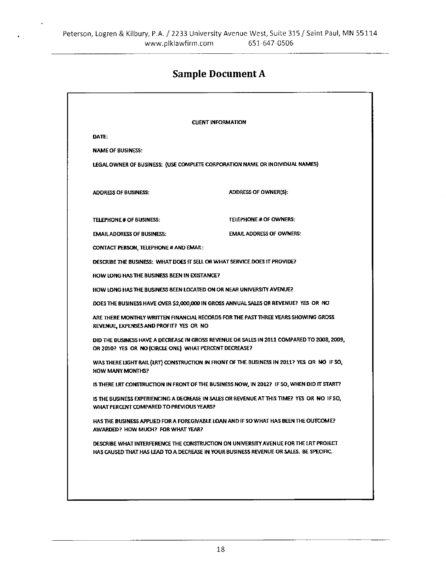# **Sample Document A**

|                                                        | <b>CUENT INFORMATION</b>                                                                                                                                                       |
|--------------------------------------------------------|--------------------------------------------------------------------------------------------------------------------------------------------------------------------------------|
| DATE:                                                  |                                                                                                                                                                                |
| <b>NAME OF BUSINESS:</b>                               |                                                                                                                                                                                |
|                                                        | LEGAL OWNER OF BUSINESS: (USE COMPLETE CORPORATION NAME OR INDIVIDUAL NAMES)                                                                                                   |
| <b>ADDRESS OF BUSINESS:</b>                            | ADDRESS OF OWNER(S):                                                                                                                                                           |
| <b>TELEPHONE # OF BUSINESS:</b>                        | <b>TELEPHONE # OF OWNERS:</b>                                                                                                                                                  |
| <b>EMAIL ADDRESS OF BUSINESS:</b>                      | <b>EMAIL ADDRESS OF OWNERS:</b>                                                                                                                                                |
| <b>CONTACT PERSON, TELEPHONE # AND EMAIL:</b>          |                                                                                                                                                                                |
|                                                        | DESCRIBE THE BUSINESS: WHAT DOES IT SELL OR WHAT SERVICE DOES IT PROVIDE?                                                                                                      |
| HOW LONG HAS THE BUSINESS BEEN IN EXISTANCE?           |                                                                                                                                                                                |
|                                                        | HOW LONG HAS THE BUSINESS BEEN LOCATED ON OR NEAR UNIVERSITY AVENUE?                                                                                                           |
|                                                        | DOES THE BUSINESS HAVE OVER \$2,000,000 IN GROSS ANNUAL SALES OR REVENUE? YES OR NO                                                                                            |
| REVENUE, EXPENSES AND PROFIT? YES OR NO                | ARE THERE MONTHLY WRITTEN FINANCIAL RECORDS FOR THE PAST THREE YEARS SHOWING GROSS                                                                                             |
| OR 2010? YES OR NO (CIRCLE ONE) WHAT PERCENT DECREASE? | DID THE BUSINESS HAVE A DECREASE IN GROSS REVENUE OR SALES IN 2011 COMPARED TO 2008, 2009,                                                                                     |
| HOW MANY MONTHS?                                       | WAS THERE LIGHT RAIL (LRT) CONSTRUCTION IN FRONT OF THE BUSINESS IN 2011? YES OR NO IF SO,                                                                                     |
|                                                        | IS THERE LRT CONSTRUCTION IN FRONT OF THE BUSINESS NOW, IN 2012? IF SO, WHEN DID IT START?                                                                                     |
| WHAT PERCENT COMPARED TO PREVIOUS YEARS?               | IS THE BUSINESS EXPERIENCING A DECREASE IN SALES OR REVENUE AT THIS TIME? YES OR NO IF SO.                                                                                     |
| AWARDED? HOW MUCH? FOR WHAT YEAR?                      | HAS THE BUSINESS APPLIED FOR A FOREGIVABLE LOAN AND IF SO WHAT HAS BEEN THE OUTCOME?                                                                                           |
|                                                        | DESCRIBE WHAT INTERFERENCE THE CONSTRUCTION ON UNIVERSITY AVENUE FOR THE LRT PROJECT<br>HAS CAUSED THAT HAS LEAD TO A DECREASE IN YOUR BUSINESS REVENUE OR SALES. BE SPECIFIC. |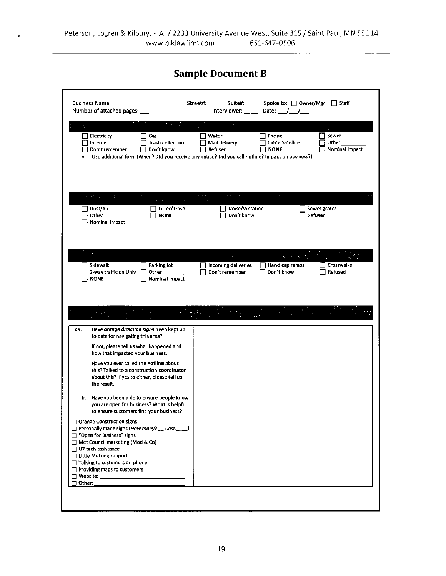# **Sample Document B**

| $\sigma_{\rm eff} = 0$<br>Electricity<br>Gas<br>Internet<br><b>Trash collection</b><br>Don't remember<br>Don't know<br>Use additional form (When? Did you receive any notice? Did you call hotline? Impact on business?) | Water<br>Phone<br>Cable Satellite<br>Mail delivery<br>Refused<br><b>NONE</b> | Sewer<br>Other<br>Nominal Impact        |
|--------------------------------------------------------------------------------------------------------------------------------------------------------------------------------------------------------------------------|------------------------------------------------------------------------------|-----------------------------------------|
| Dust/Air<br>Litter/Trash<br>Other<br><b>NONE</b><br>Nominal Impact                                                                                                                                                       | □ Noise/Vibration<br>Don't know                                              | Sewer grates<br>Refused                 |
| Sidewalk<br>Parking lot<br>2-way traffic on Univ<br>Other<br><b>NONE</b><br>Nominal Impact                                                                                                                               | Incoming deliveries<br>Don't remember<br>Don't know                          | Crosswalks<br>Handicap ramps<br>Refused |
| Have orange direction signs been kept up<br>4а.<br>to date for navigating this area?                                                                                                                                     |                                                                              |                                         |
| If not, please tell us what happened and<br>how that impacted your business.                                                                                                                                             |                                                                              |                                         |
| Have you ever called the hotline about<br>this? Talked to a construction coordinator<br>about this? If yes to either, please tell us<br>the result.                                                                      |                                                                              |                                         |
| b. Have you been able to ensure people know<br>you are open for business? What is helpful<br>to ensure customers find your business?                                                                                     |                                                                              |                                         |
| □ Orange Construction signs<br>□ Personally made signs (How many? __ Cost: __ )<br>□ "Open for Business" signs<br>Met Council marketing (Mod & Co)<br>□ U7 tech assistance                                               |                                                                              |                                         |
| □ Little Mekong support<br>□ Talking to customers on phone<br>$\Box$ Providing maps to customers                                                                                                                         |                                                                              |                                         |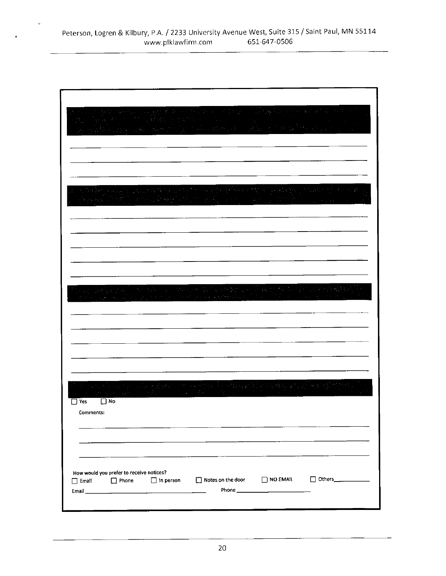| Yes          | $\square$ No                                      |                  |  |                                         |
|--------------|---------------------------------------------------|------------------|--|-----------------------------------------|
| Comments:    |                                                   |                  |  |                                         |
|              |                                                   |                  |  |                                         |
|              |                                                   |                  |  |                                         |
| $\Box$ Email | How would you prefer to receive notices?<br>Phone | $\Box$ in person |  | □ Notes on the door □ NO EMAIL □ Others |
|              |                                                   |                  |  |                                         |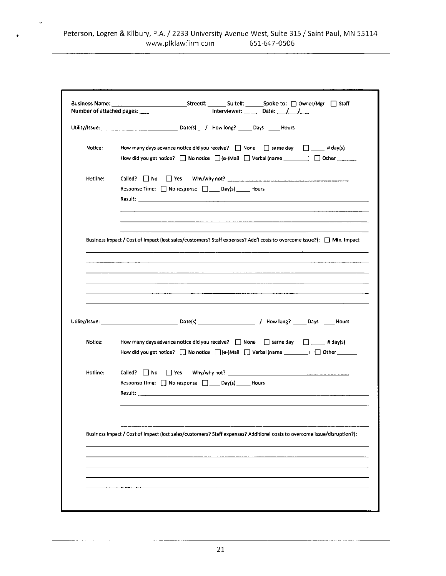$\bar{\mathcal{A}}$ 

 $\bullet$ 

| Number of attached pages: ___ | Interviewer: _ _ Date: _ _/ _ _/ ___                                                                                                                                                                                                                                                                                                                       |
|-------------------------------|------------------------------------------------------------------------------------------------------------------------------------------------------------------------------------------------------------------------------------------------------------------------------------------------------------------------------------------------------------|
|                               |                                                                                                                                                                                                                                                                                                                                                            |
| Notice:                       | How many days advance notice did you receive? $\Box$ None $\Box$ same day $\Box$ # day(s)<br>How did you get notice? $\Box$ No notice $\Box$ (e-)Mail $\Box$ Verbal (name $\Box$ ) $\Box$ Other $\Box$                                                                                                                                                     |
| Hotline:                      | Response Time: □ No response □ _ Day(s) _ _ Hours                                                                                                                                                                                                                                                                                                          |
|                               | Business Impact / Cost of Impact (lost sales/customers? Staff expenses? Add'I costs to overcome issue?): [7] Min. Impact<br>and the contract of the company of the contract of the contract of the contract of the contract of the contract of the contract of the contract of the contract of the contract of the contract of the contract of the contrac |
|                               | the control of the control of the control of the control of the control of<br>$\overline{\phantom{a}}$                                                                                                                                                                                                                                                     |
| Notice:                       | How many days advance notice did you receive? $\Box$ None $\Box$ same day $\Box \Box$ # day(s)<br>How did you get notice? $\Box$ No notice $\Box$ (e-)Mail $\Box$ Verbal (name $\Box$ ) $\Box$ Other $\Box$                                                                                                                                                |
| Hotline:                      | Called? No Ses Why/why not?<br>Response Time: No response D____ Day(s) ______ Hours<br>Result: North Commission of the Commission of the Commission of the Commission of the Commission of the Commission of the Commission of the Commission of the Commission of the Commission of the Commission of the Commission                                      |
|                               | Business Impact / Cost of Impact (lost sales/customers? Staff expenses? Additional costs to overcome issue/disruption?):                                                                                                                                                                                                                                   |
|                               |                                                                                                                                                                                                                                                                                                                                                            |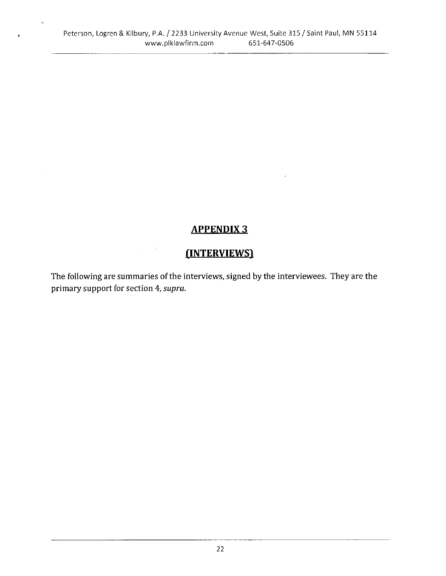$\ddot{\phantom{a}}$ 

# **APPENDIX 3**

# (INTERVIEWS)

The following are summaries of the interviews, signed by the interviewees. They are the primary support for section 4, supra.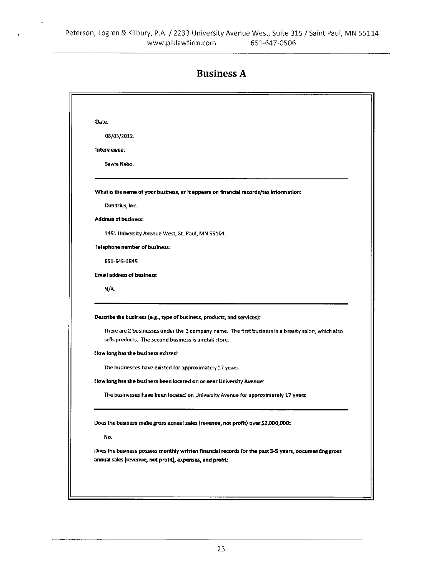| <b>Business A</b> |  |
|-------------------|--|
|-------------------|--|

|              | 08/03/2012.                                                                                                                                                                                                                                                                                                          |
|--------------|----------------------------------------------------------------------------------------------------------------------------------------------------------------------------------------------------------------------------------------------------------------------------------------------------------------------|
| interviewee: |                                                                                                                                                                                                                                                                                                                      |
|              | Sawie Nebo.                                                                                                                                                                                                                                                                                                          |
|              | What is the name of your business, as it appears on financial records/tax information:                                                                                                                                                                                                                               |
|              | Dimitrius, Inc.                                                                                                                                                                                                                                                                                                      |
|              | <b>Address of business:</b>                                                                                                                                                                                                                                                                                          |
|              | 1451 University Avenue West, St. Paul, MN 55104.                                                                                                                                                                                                                                                                     |
|              | <b>Telephone number of business:</b>                                                                                                                                                                                                                                                                                 |
|              | 651-645-1645.                                                                                                                                                                                                                                                                                                        |
|              | Email address of business:                                                                                                                                                                                                                                                                                           |
| N/A          |                                                                                                                                                                                                                                                                                                                      |
|              | Describe the business (e.g., type of business, products, and services):<br>There are 2 businesses under the 1 company name. The first business is a beauty salon, which also                                                                                                                                         |
|              | sells products. The second business is a retail store.<br>How long has the business existed:<br>The businesses have existed for approximately 27 years.<br>How long has the business been located on or near University Avenue:<br>The businesses have been located on University Avenue for approximately 17 years. |
|              | Does the business make gross annual sales (revenue, not profit) over \$2,000,000:                                                                                                                                                                                                                                    |
| No.          |                                                                                                                                                                                                                                                                                                                      |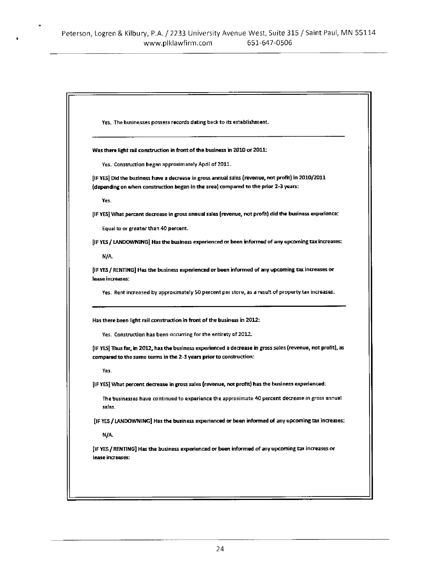|        | Yes. The businesses possess records dating back to its establishment.                                                                                                              |
|--------|------------------------------------------------------------------------------------------------------------------------------------------------------------------------------------|
|        | Was there light rail construction in front of the business in 2010 or 2011:                                                                                                        |
|        | Yes. Construction began approximately April of 2011.                                                                                                                               |
|        | [IF YES] Did the business have a decrease in gross annual sales (revenue, not profit) in 2010/2011                                                                                 |
|        | (depending on when construction began in the area) compared to the prior 2-3 years:                                                                                                |
| Yes.   |                                                                                                                                                                                    |
|        | [IF YES] What percent decrease in gross annual sales (revenue, not profit) did the business experience:                                                                            |
|        | Equal to or greater than 40 percent.                                                                                                                                               |
|        | [IF YES / LANDOWNING] Has the business experienced or been informed of any upcoming tax increases:                                                                                 |
| N/A.   |                                                                                                                                                                                    |
|        | lease increases:                                                                                                                                                                   |
|        | Yes. Rent increased by approximately 50 percent per store, as a result of property tax increases.                                                                                  |
|        | Has there been light rail construction in front of the business in 2012:                                                                                                           |
|        | Yes. Construction has been occurring for the entirety of 2012.                                                                                                                     |
|        | [IF YES] Thus far, in 2012, has the business experienced a decrease in gross sales (revenue, not profit), as<br>compared to the same terms in the 2-3 years prior to construction: |
| Yes.   |                                                                                                                                                                                    |
|        | [IF YES] What percent decrease in gross sales (revenue, not profit) has the business experienced:                                                                                  |
| saies. | The businesses have continued to experience the approximate 40 percent decrease in gross annual                                                                                    |
|        | [IF YES / LANDOWNING] Has the business experienced or been informed of any upcoming tax increases:                                                                                 |
| N/A.   |                                                                                                                                                                                    |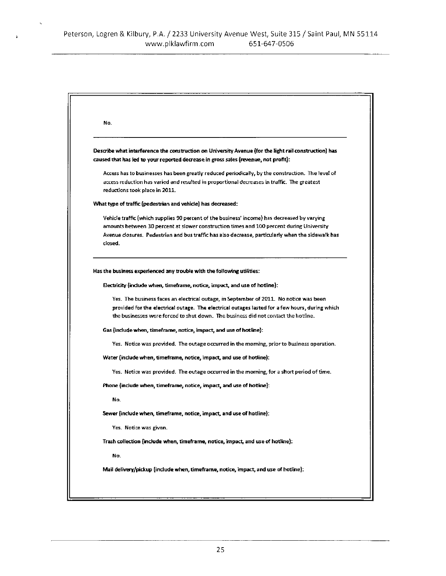$\hat{\mathbf{r}}_i$ 

 $\pmb{\cdot}$ 

| No.                                                                                                                                                                                                                                                                                                      |
|----------------------------------------------------------------------------------------------------------------------------------------------------------------------------------------------------------------------------------------------------------------------------------------------------------|
| Describe what interference the construction on University Avenue (for the light rail construction) has<br>caused that has led to your reported decrease in gross sales (revenue, not profit):                                                                                                            |
| Access has to businesses has been greatly reduced periodically, by the construction. The level of<br>access reduction has varied and resulted in proportional decreases in traffic. The greatest<br>reductions took place in 2011.                                                                       |
| What type of traffic (pedestrian and vehicle) has decreased:                                                                                                                                                                                                                                             |
| Vehicle traffic (which supplies 90 percent of the business' income) has decreased by varying<br>amounts between 30 percent at slower construction times and 100 percent during University<br>Avenue dosures. Pedestrian and bus traffic has also decrease, particularly when the sidewalk has<br>closed. |
| Has the business experienced any trouble with the following utilities:                                                                                                                                                                                                                                   |
| Electricity (include when, timeframe, notice, impact, and use of hotline):                                                                                                                                                                                                                               |
| Yes. The business faces an electrical outage, in September of 2011. No notice was been<br>provided for the electrical outage. The electrical outages lasted for a few hours, during which<br>the businesses were forced to shut down. The business did not contact the hotline.                          |
| Gas (include when, timeframe, notice, impact, and use of hotline):                                                                                                                                                                                                                                       |
| Yes. Notice was provided. The outage occurred in the moming, prior to business operation.                                                                                                                                                                                                                |
| Water (include when, timeframe, notice, impact, and use of hotfine).                                                                                                                                                                                                                                     |
| Yes. Notice was provided. The outage occurred in the morning, for a short period of time.                                                                                                                                                                                                                |
| Phone (include when, timeframe, notice, impact, and use of hotline):                                                                                                                                                                                                                                     |
| No.                                                                                                                                                                                                                                                                                                      |
| Sewer (include when, timeframe, notice, impact, and use of hotline):                                                                                                                                                                                                                                     |
| Yes. Notice was given.                                                                                                                                                                                                                                                                                   |
| Trash collection (include when, timeframe, notice, impact, and use of hotline):                                                                                                                                                                                                                          |
| No.                                                                                                                                                                                                                                                                                                      |
| Mail delivery/pickup (include when, timeframe, notice, impact, and use of hotline):                                                                                                                                                                                                                      |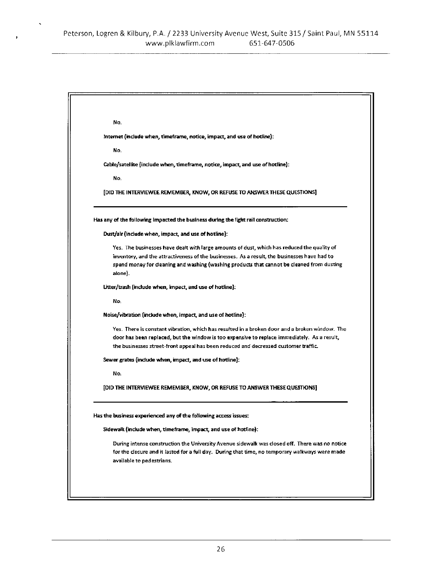$\cdot$ 

| No.                                                                                                                                                                                                                                                                                                 |
|-----------------------------------------------------------------------------------------------------------------------------------------------------------------------------------------------------------------------------------------------------------------------------------------------------|
| Internet (include when, timeframe, notice, impact, and use of hotline):                                                                                                                                                                                                                             |
| No.                                                                                                                                                                                                                                                                                                 |
| Cable/satellite (include when, timeframe, notice, impact, and use of hotline):                                                                                                                                                                                                                      |
| No.                                                                                                                                                                                                                                                                                                 |
| [DID THE INTERVIEWEE REMEMBER, KNOW, OR REFUSE TO ANSWER THESE QUESTIONS]                                                                                                                                                                                                                           |
| Has any of the following impacted the business during the light rail construction:                                                                                                                                                                                                                  |
| Dust/air (include when, impact, and use of hotline):                                                                                                                                                                                                                                                |
| Yes. The businesses have dealt with large amounts of dust, which has reduced the quality of<br>inventory, and the attractiveness of the businesses. As a result, the businesses have had to<br>spend money for deaning and washing (washing products that cannot be cleaned from dusting<br>alone). |
| Litter/trash (include when, impact, and use of hotline).                                                                                                                                                                                                                                            |
| No.                                                                                                                                                                                                                                                                                                 |
| Noise/vibration (include when, impact, and use of hotline):                                                                                                                                                                                                                                         |
| Yes. There is constant vibration, which has resulted in a broken door and a broken window. The<br>door has been replaced, but the window is too expensive to replace immediately. As a result,<br>the businesses street-front appeal has been reduced and decreased customer traffic.               |
| Sewer grates (include when, impact, and use of hotline):                                                                                                                                                                                                                                            |
| No.                                                                                                                                                                                                                                                                                                 |
| [DID THE INTERVIEWEE REMEMBER, KNOW, OR REFUSE TO ANSWER THESE QUESTIONS]                                                                                                                                                                                                                           |
| Has the business experienced any of the following access issues:                                                                                                                                                                                                                                    |
| Sidewalk (include when, timeframe, impact, and use of hotfine):                                                                                                                                                                                                                                     |
| During intense construction the University Avenue sidewalk was closed off. There was no notice<br>for the closure and it lasted for a full day. During that time, no temporary walkways were made<br>available to pedestrians.                                                                      |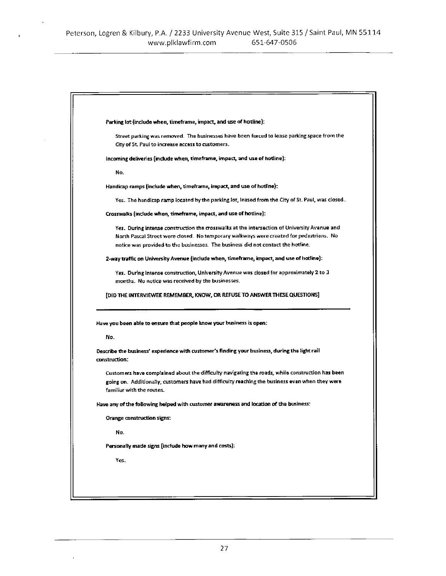$\ddot{\phantom{0}}$ 

 $\mathbf{r}$ 

| Parking fot (include when, timetrame, impact, and use of hotline).                                                                                                                                  |
|-----------------------------------------------------------------------------------------------------------------------------------------------------------------------------------------------------|
| Street parking was removed. The businesses have been forced to lease parking space from the                                                                                                         |
| City of St. Paul to increase access to customers.                                                                                                                                                   |
| incoming deliveries (include when, timeframe, impact, and use of hotline):                                                                                                                          |
| No.                                                                                                                                                                                                 |
| Handicap ramps (include when, timeframe, impact, and use of hotline):                                                                                                                               |
| Yes. The handicap ramp located by the parking lot, leased from the City of St. Paul, was closed.                                                                                                    |
| Crosswalks (include when, timeframe, impact, and use of hotline):                                                                                                                                   |
| Yes. During intense construction the crosswalks at the intersection of University Avenue and                                                                                                        |
| North Pascal Street were closed. No temporary walkways were created for pedestrians. No                                                                                                             |
| notice was provided to the businesses. The business did not contact the hotline.                                                                                                                    |
| 2-way traffic on University Avenue (include when, timeframe, impact, and use of hotline):                                                                                                           |
| Yes. During intense construction, University Avenue was closed for approximately 2 to 3                                                                                                             |
| months. No notice was received by the businesses.                                                                                                                                                   |
| [DID THE INTERVIEWEE REMEMBER, KNOW, OR REFUSE TO ANSWER THESE QUESTIONS]                                                                                                                           |
|                                                                                                                                                                                                     |
|                                                                                                                                                                                                     |
| Have you been able to ensure that people know your business is open:                                                                                                                                |
| No.                                                                                                                                                                                                 |
|                                                                                                                                                                                                     |
|                                                                                                                                                                                                     |
| Describe the business' experience with customer's finding your business, during the light rail<br>construction:                                                                                     |
|                                                                                                                                                                                                     |
| Customers have complained about the difficulty navigating the roads, while construction has been<br>going on. Additionally, customers have had difficulty reaching the business even when they were |
| familiar with the routes.                                                                                                                                                                           |
| Have any of the following helped with customer awareness and location of the business:                                                                                                              |
| Orange construction signs:                                                                                                                                                                          |
| No.                                                                                                                                                                                                 |
| Personally made signs (include how many and costs):                                                                                                                                                 |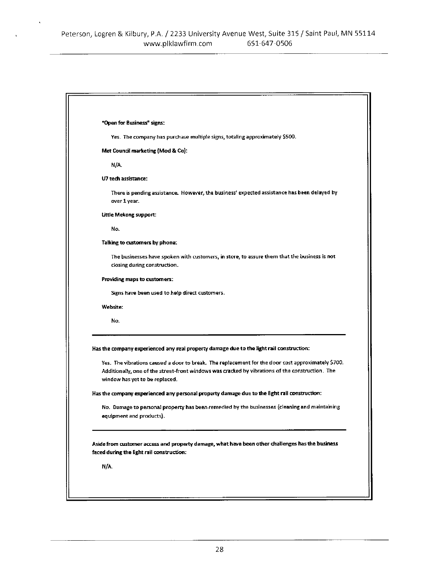$\ddot{\phantom{0}}$ 

| "Open for Business" signs:                                                                                                                                                                                                                                                                                                           |
|--------------------------------------------------------------------------------------------------------------------------------------------------------------------------------------------------------------------------------------------------------------------------------------------------------------------------------------|
| Yes. The company has purchase multiple signs, totaling approximately \$500.                                                                                                                                                                                                                                                          |
| Met Council marketing (Mod & Co):                                                                                                                                                                                                                                                                                                    |
| N/A.                                                                                                                                                                                                                                                                                                                                 |
| U7 tech assistance:                                                                                                                                                                                                                                                                                                                  |
| There is pending assistance. However, the business' expected assistance has been delayed by<br>over 1 year.                                                                                                                                                                                                                          |
| Little Mekong support:                                                                                                                                                                                                                                                                                                               |
| No.                                                                                                                                                                                                                                                                                                                                  |
| Talking to customers by phone:                                                                                                                                                                                                                                                                                                       |
| The businesses have spoken with customers, in store, to assure them that the business is not<br>closing during construction.                                                                                                                                                                                                         |
| Providing maps to customers:                                                                                                                                                                                                                                                                                                         |
| Signs have been used to help direct customers.                                                                                                                                                                                                                                                                                       |
| Website:                                                                                                                                                                                                                                                                                                                             |
| No.                                                                                                                                                                                                                                                                                                                                  |
| Has the company experienced any real property damage due to the light rail construction:<br>Yes. The vibrations caused a door to break. The replacement for the door cost approximately \$700.<br>Additionally, one of the street-front windows was cracked by vibrations of the construction. The<br>window has yet to be replaced. |
| Has the company experienced any personal property damage due to the light rail construction:                                                                                                                                                                                                                                         |
| No. Damage to personal property has been remedied by the businesses (cleaning and maintaining<br>equipment and products).                                                                                                                                                                                                            |
| Aside from customer access and property damage, what have been other challenges has the business<br>faced during the light rail construction:                                                                                                                                                                                        |
| N/A.                                                                                                                                                                                                                                                                                                                                 |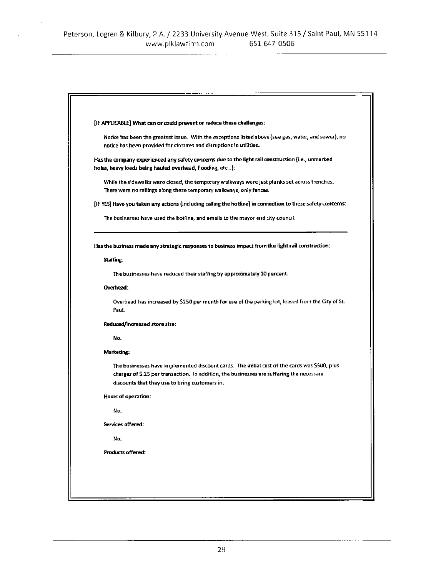$\ddot{\phantom{a}}$ 

| [IF APPLICABLE] What can or could prevent or reduce these challenges:                                       |
|-------------------------------------------------------------------------------------------------------------|
| Notice has been the greatest issue. With the exceptions listed above (see gas, water, and sewer), no        |
| notice has been provided for closures and disruptions in utilities.                                         |
| Has the company experienced any safety concerns due to the light rail construction (i.e., unmarked          |
| holes, heavy loads being hauled overhead, flooding, etc):                                                   |
| While the sidewalks were closed, the temporary walkways were just planks set across trenches.               |
| There were no railings along these temporary walkways, only fences.                                         |
| [IF YES] Have you taken any actions (including calling the hotline) in connection to these safety concerns: |
| The businesses have used the hotline, and emails to the mayor and city council.                             |
|                                                                                                             |
|                                                                                                             |
| Has the business made any strategic responses to business impact from the light rail construction:          |
| Staffing:                                                                                                   |
| The businesses have reduced their staffing by approximately 10 percent.                                     |
| Overhead:                                                                                                   |
| Overhead has increased by \$250 per month for use of the parking lot, leased from the City of St.           |
| Paut.                                                                                                       |
| Reduced/increased store size:                                                                               |
| No.                                                                                                         |
| Marketing:                                                                                                  |
| The businesses have implemented discount cards. The initial cost of the cards was \$500, plus               |
| charges of \$.25 per transaction. In addition, the businesses are suffering the necessary                   |
| discounts that they use to bring customers in.                                                              |
| <b>Hours of operation:</b>                                                                                  |
| Ho.                                                                                                         |
| Services offered:                                                                                           |
| No.                                                                                                         |
| <b>Products offered:</b>                                                                                    |
|                                                                                                             |
|                                                                                                             |
|                                                                                                             |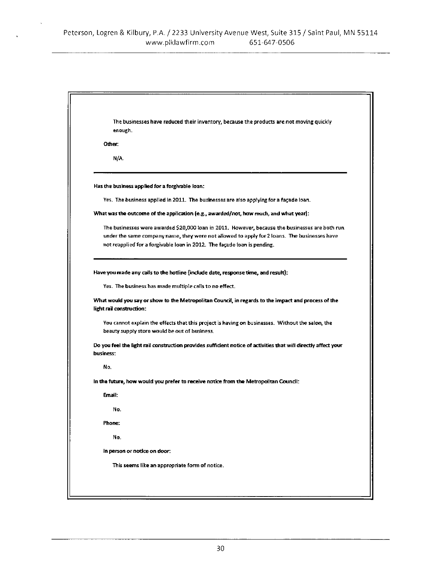|           | The businesses have reduced their inventory, because the products are not moving quickly<br>enough.                                                                                                                                                                          |
|-----------|------------------------------------------------------------------------------------------------------------------------------------------------------------------------------------------------------------------------------------------------------------------------------|
|           | Other:                                                                                                                                                                                                                                                                       |
|           | N/A.                                                                                                                                                                                                                                                                         |
|           | Has the business applied for a forgivable loan:                                                                                                                                                                                                                              |
|           | Yes. The business applied in 2011. The businesses are also applying for a facade loan.                                                                                                                                                                                       |
|           | What was the outcome of the application (e.g., awarded/not, how much, and what year):                                                                                                                                                                                        |
|           | The businesses were awarded \$20,000 loan in 2011. However, because the businesses are both run.<br>under the same company name, they were not allowed to apply for 2 loans. The businesses have<br>not reapplied for a forgivable loan in 2012. The facade loan is pending. |
|           | Have you made any calls to the hotline (include date, response time, and result):                                                                                                                                                                                            |
|           | Yes. The business has made multiple calls to no effect.                                                                                                                                                                                                                      |
|           | What would you say or show to the Metropolitan Council, in regards to the impact and process of the<br>light rail construction:                                                                                                                                              |
|           |                                                                                                                                                                                                                                                                              |
|           | You cannot explain the effects that this project is having on businesses. Without the salon, the<br>beauty supply store would be out of business.                                                                                                                            |
|           | Do you feel the light rail construction provides sufficient notice of activities that will directly affect your                                                                                                                                                              |
| business: | No.                                                                                                                                                                                                                                                                          |
|           | In the future, how would you prefer to receive notice from the Metropolitan Council:                                                                                                                                                                                         |
|           | Email:                                                                                                                                                                                                                                                                       |
|           | No.                                                                                                                                                                                                                                                                          |
|           | Phone:                                                                                                                                                                                                                                                                       |
|           | No.                                                                                                                                                                                                                                                                          |
|           | in person or notice on door:                                                                                                                                                                                                                                                 |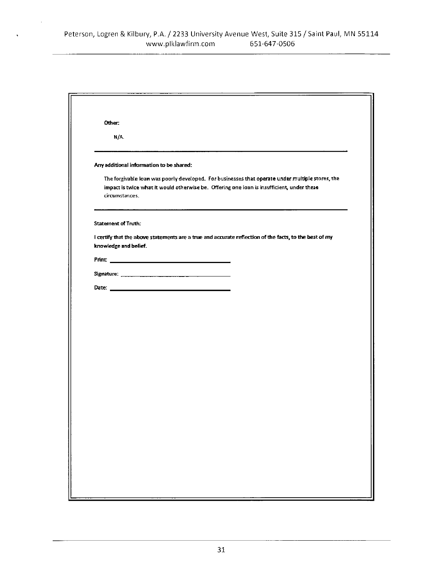$\bar{z}$ 

| Other:                     |                                                                                                                                                                                                |  |
|----------------------------|------------------------------------------------------------------------------------------------------------------------------------------------------------------------------------------------|--|
| N/A.                       |                                                                                                                                                                                                |  |
|                            | Any additional information to be shared:                                                                                                                                                       |  |
| circumstances.             | The forgivable loan was poorly developed. For businesses that operate under multiple stores, the<br>impact is twice what it would otherwise be. Offering one loan is insufficient, under these |  |
| <b>Statement of Truth:</b> |                                                                                                                                                                                                |  |
| knowledge and belief.      | I certify that the above statements are a true and accurate reflection of the facts, to the best of my                                                                                         |  |
|                            |                                                                                                                                                                                                |  |
|                            |                                                                                                                                                                                                |  |
|                            |                                                                                                                                                                                                |  |
|                            |                                                                                                                                                                                                |  |
|                            |                                                                                                                                                                                                |  |
|                            |                                                                                                                                                                                                |  |
|                            |                                                                                                                                                                                                |  |
|                            |                                                                                                                                                                                                |  |
|                            |                                                                                                                                                                                                |  |
|                            |                                                                                                                                                                                                |  |
|                            |                                                                                                                                                                                                |  |
|                            |                                                                                                                                                                                                |  |
|                            |                                                                                                                                                                                                |  |
|                            |                                                                                                                                                                                                |  |
|                            |                                                                                                                                                                                                |  |
|                            |                                                                                                                                                                                                |  |
|                            |                                                                                                                                                                                                |  |
|                            |                                                                                                                                                                                                |  |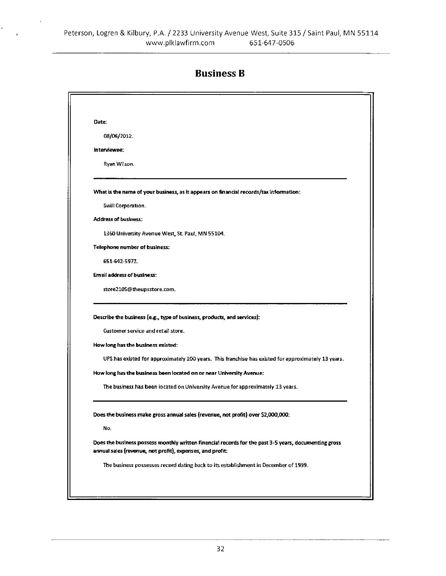,

#### **Business B**

| Date: |                                                                                                                                                                                                                                                                                                                                                                                                                      |
|-------|----------------------------------------------------------------------------------------------------------------------------------------------------------------------------------------------------------------------------------------------------------------------------------------------------------------------------------------------------------------------------------------------------------------------|
|       | 08/06/2012.                                                                                                                                                                                                                                                                                                                                                                                                          |
|       | Interviewee:                                                                                                                                                                                                                                                                                                                                                                                                         |
|       | Ryan Wilson.                                                                                                                                                                                                                                                                                                                                                                                                         |
|       | What is the name of your business, as it appears on financial records/tax information:                                                                                                                                                                                                                                                                                                                               |
|       | Swill Corporation.                                                                                                                                                                                                                                                                                                                                                                                                   |
|       | <b>Address of business:</b>                                                                                                                                                                                                                                                                                                                                                                                          |
|       | 1360 University Avenue West, St. Paul, MN 55104.                                                                                                                                                                                                                                                                                                                                                                     |
|       | <b>Telephone number of business:</b>                                                                                                                                                                                                                                                                                                                                                                                 |
|       | 651-642-5972.                                                                                                                                                                                                                                                                                                                                                                                                        |
|       | <b>Email address of business:</b>                                                                                                                                                                                                                                                                                                                                                                                    |
|       | store2105@theupsstore.com.                                                                                                                                                                                                                                                                                                                                                                                           |
|       | Describe the business (e.g., type of business, products, and services):<br>Customer service and retail store.<br>How long has the business existed:<br>UPS has existed for approximately 100 years. This franchise has existed for approximately 13 years.<br>How long has the business been located on or near University Avenue:<br>The business has been iocated on University Avenue for approximately 13 years. |
|       | Does the business make gross annual sales (revenue, not profit) over \$2,000,000:<br>No.                                                                                                                                                                                                                                                                                                                             |
|       | Does the business possess monthly written financial records for the past 3-5 years, documenting gross<br>annual sales (revenue, not profit), expenses, and profit:                                                                                                                                                                                                                                                   |
|       | The business possesses record dating back to its establishment in December of 1999.                                                                                                                                                                                                                                                                                                                                  |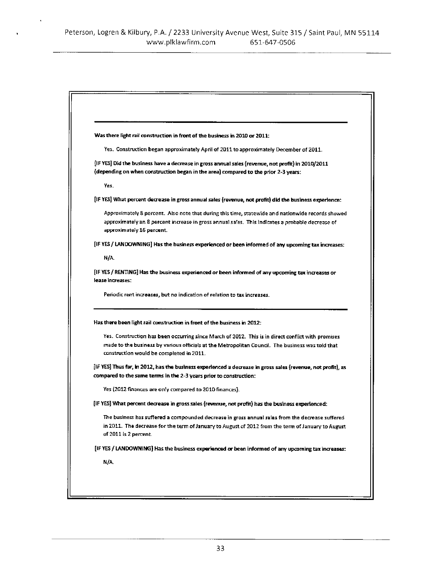| Was there light rail construction in front of the business in 2010 or 2011:                                                                                                                                                                         |
|-----------------------------------------------------------------------------------------------------------------------------------------------------------------------------------------------------------------------------------------------------|
| Yes. Construction began approximately April of 2011 to approximately December of 2011.                                                                                                                                                              |
| [IF YES] Did the business have a decrease in gross annual sales (revenue, not profit) in 2010/2011<br>(depending on when construction began in the area) compared to the prior 2-3 years:                                                           |
| Yes.                                                                                                                                                                                                                                                |
| [iF YES] What percent decrease in gross annual sales (revenue, not profit) did the business experience:                                                                                                                                             |
| Approximately 8 percent. Also note that during this time, statewide and nationwide records showed<br>approximately an 8 percent increase in gross annual sales. This indicates a probable decrease of<br>approximately 16 percent.                  |
| [IF YES / LANDOWNING] Has the business experienced or been informed of any upcoming tax increases:                                                                                                                                                  |
| N/A                                                                                                                                                                                                                                                 |
| [IF YES / RENTING] Has the business experienced or been informed of any upcoming tax increases or<br>lease increases:<br>Periodic rent increases, but no indication of relation to tax increases.                                                   |
| Has there been light rail construction in front of the business in 2012:                                                                                                                                                                            |
| Yes. Construction has been occurring since March of 2012. This is in direct conflict with promises<br>made to the business by various officials at the Metropolitan Council. The business was told that<br>construction would be completed in 2011. |
| [IF YES] Thus far, in 2012, has the business experienced a decrease in gross sales (revenue, not profit), as<br>compared to the same terms in the 2-3 years prior to construction:                                                                  |
| Yes (2012 finances are only compared to 2010 finances).                                                                                                                                                                                             |
| (IF YES) What percent decrease in gross sales (revenue, not profit) has the business experienced:                                                                                                                                                   |
| The business has suffered a compounded decrease in gross annual sales from the decrease suffered<br>in 2011. The decrease for the term of January to August of 2012 from the term of January to August<br>of 2011 is 2 percent.                     |
| [IF YES / LANDOWNING] Has the business experienced or been informed of any upcoming tax increases:                                                                                                                                                  |
| N/A                                                                                                                                                                                                                                                 |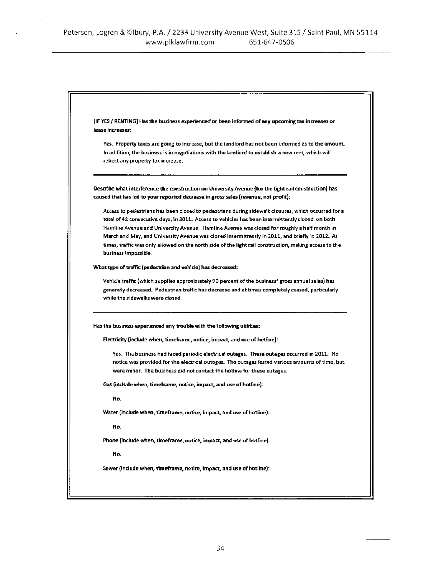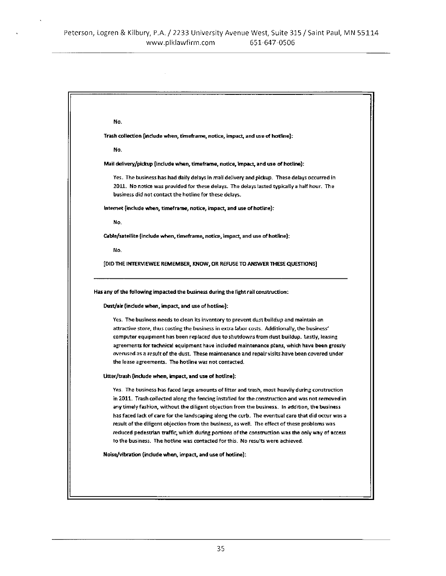| No.                                                                                                                                                                                                                                                 |
|-----------------------------------------------------------------------------------------------------------------------------------------------------------------------------------------------------------------------------------------------------|
| Trash collection (include when, timeframe, notice, impact, and use of hotline);                                                                                                                                                                     |
| No.                                                                                                                                                                                                                                                 |
| Mail delivery/pickup (include when, timeframe, notice, impact, and use of hotline):                                                                                                                                                                 |
| Yes.The business has had daily delays in mail delivery and pickup.These delays occurred in<br>2011. No notice was provided for these delays. The delays lasted typically a half hour. The<br>business did not contact the hotline for these delays. |
| internet (include when, timeframe, notice, impact, and use of hotline):                                                                                                                                                                             |
| No.                                                                                                                                                                                                                                                 |
| Cable/satellite (include when, timeframe, notice, impact, and use of hotline):                                                                                                                                                                      |
| No.                                                                                                                                                                                                                                                 |
|                                                                                                                                                                                                                                                     |
| [DID THE INTERVIEWEE REMEMBER, KNOW, OR REFUSE TO ANSWER THESE QUESTIONS]<br>Has any of the following impacted the business during the light rail construction:<br>Dust/air (include when, impact, and use of hotline):                             |
|                                                                                                                                                                                                                                                     |
| Yes. The business needs to clean its inventory to prevent dust buildup and maintain an<br>attractive store, thus costing the business in extra labor costs. Additionally, the business'                                                             |
| computer equipment has been replaced due to shutdowns from dust buildup, Lestly, leasing                                                                                                                                                            |
| agreements for technical equipment have included maintenance plans, which have been grossly                                                                                                                                                         |
| overused as a result of the dust. These maintenance and repair visits have been covered under                                                                                                                                                       |
| the lease agreements. The hotline was not contacted.                                                                                                                                                                                                |
| Litter/trash (include when, impact, and use of hotline):                                                                                                                                                                                            |
| Yes. The business has faced large amounts of litter and trash, most heavily during construction.                                                                                                                                                    |
| in 2011. Trash collected along the fencing installed for the construction and was not removed in                                                                                                                                                    |
| any timely fashion, without the diligent objection from the business. In addition, the business                                                                                                                                                     |
| has faced lack of care for the landscaping along the curb. The eventual care that did occur was a                                                                                                                                                   |
| result of the diligent objection from the business, as well. The effect of these problems was                                                                                                                                                       |
| reduced pedestrian traffic, which during portions of the construction was the only way of access                                                                                                                                                    |
| to the business. The hotline was contacted for this. No results were achieved.                                                                                                                                                                      |
| Noise/vibration (include when, impact, and use of hotline):                                                                                                                                                                                         |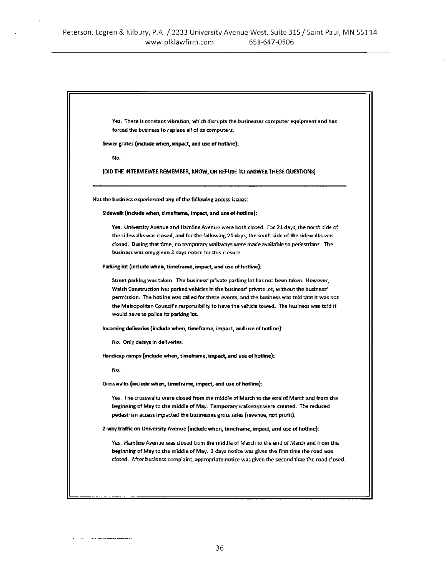| Yes. There is constant vibration, which disrupts the businesses computer equipment and has                                                                                                    |
|-----------------------------------------------------------------------------------------------------------------------------------------------------------------------------------------------|
| forced the business to replace all of its computers.                                                                                                                                          |
| Sewer grates (include when, impact, and use of hotline):                                                                                                                                      |
| No.                                                                                                                                                                                           |
| [DID THE INTERVIEWEE REMEMBER, KNOW, OR REFUSE TO ANSWER THESE QUESTIONS]                                                                                                                     |
| Has the business experienced any of the following access issues:                                                                                                                              |
| Sidewalk (include when, timeframe, impact, and use of hodine):                                                                                                                                |
| Yes. University Avenue and Hamline Avenue were both closed. For 21 days, the north side of                                                                                                    |
| the sidewalks was closed, and for the following 21 days, the south side of the sidewalks was                                                                                                  |
| closed. During that time, no temporary walkways were made available to pedestrians. The<br>business was only given 3 days notice for this closure.                                            |
| Parking lot (include when, timeframe, impact, and use of hotline):                                                                                                                            |
| Street parking was taken. The business' private parking lot has not been taken. However,                                                                                                      |
| Walsh Construction has parked vehicles in the business' private lot, without the business'                                                                                                    |
| permission. The hotline was called for these events, and the business was told that it was not                                                                                                |
| the Metropolitan Council's responsibility to have the vehicle towed. The business was told it<br>would have to police its parking lot.                                                        |
| Incoming deliveries (include when, timeframe, impact, and use of hotline):                                                                                                                    |
| No. Only delays in deliveries.                                                                                                                                                                |
| Handicap ramps (include when, timeframe, impact, and use of hotline):                                                                                                                         |
| No.                                                                                                                                                                                           |
| Crosswalks (include when, timeframe, impact, and use of hotline):                                                                                                                             |
| Yes. The crosswalks were closed from the middle of March to the end of March and from the                                                                                                     |
| beginning of May to the middle of May.  Temporary walkways were created.  The reduced                                                                                                         |
| pedestrian access impacted the businesses gross sales (revenue, not profit).                                                                                                                  |
| 2-way traffic on University Avenue (include when, timeframe, impact, and use of hotine):                                                                                                      |
| Yes. Hamline Avenue was closed from the middle of March to the end of March and from the                                                                                                      |
| beginning of May to the middle of May. 3 days notice was given the first time the road was<br>closed. After business complaint, appropriate notice was given the second time the road closed. |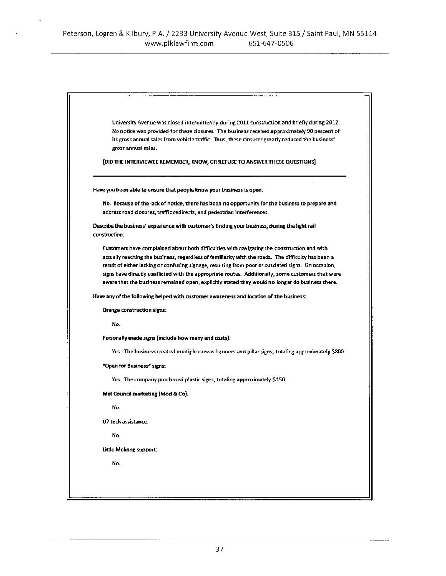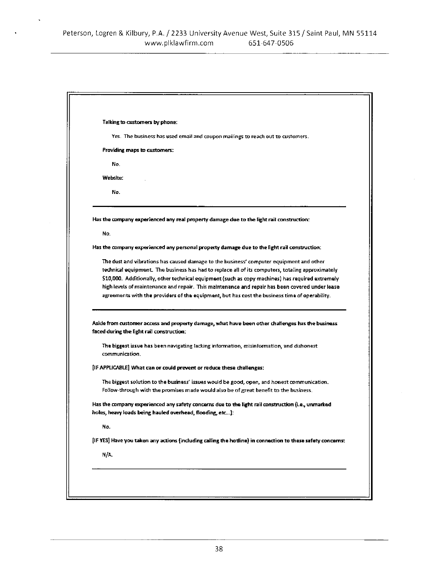$\ddot{\phantom{1}}$ 

| Talking to customers by phone:                                                                                                                                                                                                                                                                                                                                                                                                                                                                        |
|-------------------------------------------------------------------------------------------------------------------------------------------------------------------------------------------------------------------------------------------------------------------------------------------------------------------------------------------------------------------------------------------------------------------------------------------------------------------------------------------------------|
| Yes. The business has used email and coupon mailings to reach out to customers.                                                                                                                                                                                                                                                                                                                                                                                                                       |
| Providing maps to customers:                                                                                                                                                                                                                                                                                                                                                                                                                                                                          |
| No.                                                                                                                                                                                                                                                                                                                                                                                                                                                                                                   |
| Website:                                                                                                                                                                                                                                                                                                                                                                                                                                                                                              |
| No.                                                                                                                                                                                                                                                                                                                                                                                                                                                                                                   |
| Has the company experienced any real property damage due to the light rail construction:                                                                                                                                                                                                                                                                                                                                                                                                              |
| No.                                                                                                                                                                                                                                                                                                                                                                                                                                                                                                   |
| Has the company experienced any personal property damage due to the light rail construction:                                                                                                                                                                                                                                                                                                                                                                                                          |
| The dust and vibrations has caused damage to the business' computer equipment and other<br>technical equipment. The business has had to replace all of its computers, totaling approximately<br>\$10,000. Additionally, other technical equipment (such as copy machines) has required extremely<br>high levels of maintenance and repair. This maintenance and repair has been covered under lease<br>agreements with the providers of the equipment, but has cost the business time of operability. |
| Aside from customer access and property damage, what have been other challenges has the business<br>faced during the light rail construction:                                                                                                                                                                                                                                                                                                                                                         |
| The biggest issue has been navigating lacking information, misinformation, and dishonest<br>communication.                                                                                                                                                                                                                                                                                                                                                                                            |
| [IF APPLICABLE] What can or could prevent or reduce these challenges:                                                                                                                                                                                                                                                                                                                                                                                                                                 |
| The biggest solution to the business' issues would be good, open, and honest communication.<br>Follow-through with the promises made would also be of great benefit to the business.                                                                                                                                                                                                                                                                                                                  |
| Has the company experienced any safety concerns due to the light rail construction (i.e., unmarked<br>holes, heavy loads being hauled overhead, flooding, etc):                                                                                                                                                                                                                                                                                                                                       |
| No.                                                                                                                                                                                                                                                                                                                                                                                                                                                                                                   |
| [IF YES] Have you taken any actions (including calling the hotline) in connection to these safety concerns:                                                                                                                                                                                                                                                                                                                                                                                           |
| N/A.                                                                                                                                                                                                                                                                                                                                                                                                                                                                                                  |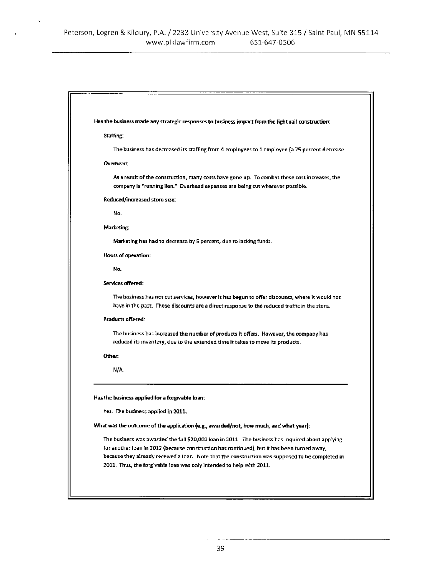| Has the business made any strategic responses to business impact from the light rail construction:                                                                                             |
|------------------------------------------------------------------------------------------------------------------------------------------------------------------------------------------------|
| Staffing:                                                                                                                                                                                      |
| The business has decreased its staffing from 4 employees to 1 employee (a 75 percent decrease.                                                                                                 |
| Overhead:                                                                                                                                                                                      |
| As a result of the construction, many costs have gone up. To combat these cost increases, the<br>company is "running lien." Overhead expenses are being cut wherever possible.                 |
| Reduced/increased store size:                                                                                                                                                                  |
| No.                                                                                                                                                                                            |
| Marketing:                                                                                                                                                                                     |
| Marketing has had to decrease by 5 percent, due to lacking funds.                                                                                                                              |
| <b>Hours of operation:</b>                                                                                                                                                                     |
| No.                                                                                                                                                                                            |
| Services offered:                                                                                                                                                                              |
| The business has not cut services, however it has begun to offer discounts, where it would not<br>have in the past. These discounts are a direct response to the reduced traffic in the store. |
| <b>Products offered:</b>                                                                                                                                                                       |
| The business has increased the number of products it offers. However, the company has<br>reduced its inventory, due to the extended time it takes to move its products.                        |
| Other:                                                                                                                                                                                         |
| N/A.                                                                                                                                                                                           |
| Has the business applied for a forgivable loan:                                                                                                                                                |
| Yes. The business applied in 2011.                                                                                                                                                             |
| What was the outcome of the application (e.g., awarded/not, how much, and what year):                                                                                                          |
| The business was awarded the full \$20,000 loan in 2011. The business has inquired about applying                                                                                              |
| for another ioan in 2012 (because construction has continued), but it has been turned away,                                                                                                    |
| because they already received a loan. Note that the construction was supposed to be completed in                                                                                               |
| 2011. Thus, the forgivable loan was only intended to help with 2011.                                                                                                                           |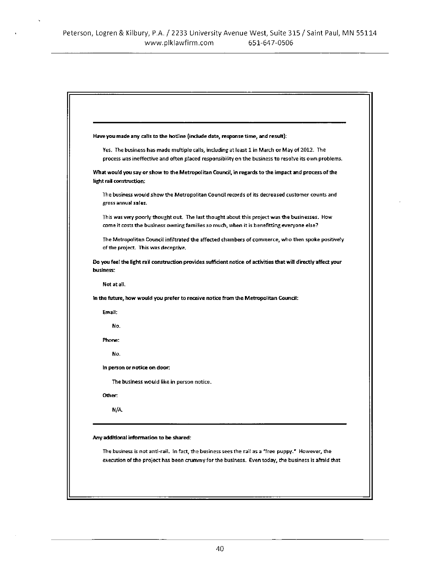| Have you made any calls to the hotline (include date, response time, and result):                                                                                                          |
|--------------------------------------------------------------------------------------------------------------------------------------------------------------------------------------------|
| Yes. The business has made multiple calls, including at least 1 in March or May of 2012. The                                                                                               |
| process was ineffective and often placed responsibility on the business to resolve its own problems.                                                                                       |
| What would you say or show to the Metropolitan Council, in regards to the impact and process of the<br>light rail construction:                                                            |
| The business would show the Metropolitan Council records of its decreased customer counts and<br>gross annual sales.                                                                       |
| This was very poorly thought out. The last thought about this project was the businesses. How<br>come it costs the business owning families so much, when it is benefitting everyone else? |
| The Metropolitan Council infiltrated the affected chambers of commerce, who then spoke positively<br>of the project. This was deceptive.                                                   |
| Do you feel the light rail construction provides sufficient notice of activities that will directly affect your<br>business:                                                               |
| Not at all.                                                                                                                                                                                |
| In the future, how would you prefer to receive notice from the Metropolitan Council:                                                                                                       |
| Email:                                                                                                                                                                                     |
| No.                                                                                                                                                                                        |
| Phone:                                                                                                                                                                                     |
| No.                                                                                                                                                                                        |
| in person or notice on door:                                                                                                                                                               |
| The business would like in person notice.                                                                                                                                                  |
| <b>Other:</b>                                                                                                                                                                              |
| NΑ                                                                                                                                                                                         |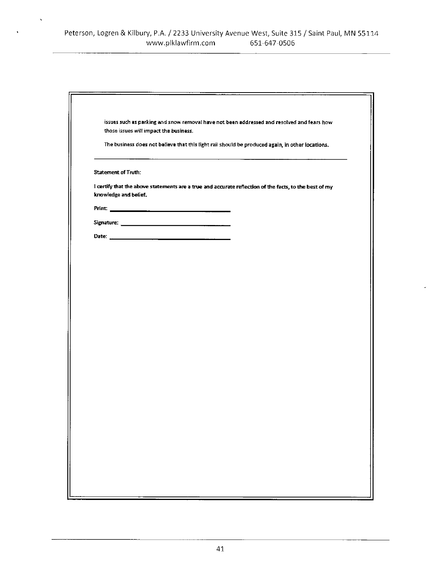$\lambda$ 

|                            | those issues will impact the business. |                                                                                                        |  |
|----------------------------|----------------------------------------|--------------------------------------------------------------------------------------------------------|--|
|                            |                                        | The business does not believe that this light rail should be produced again, in other locations.       |  |
| <b>Statement of Truth:</b> |                                        |                                                                                                        |  |
| knowledge and belief.      |                                        | I certify that the above statements are a true and accurate reflection of the facts, to the best of my |  |
|                            |                                        |                                                                                                        |  |
|                            |                                        |                                                                                                        |  |
|                            |                                        |                                                                                                        |  |
|                            |                                        |                                                                                                        |  |
|                            |                                        |                                                                                                        |  |
|                            |                                        |                                                                                                        |  |
|                            |                                        |                                                                                                        |  |
|                            |                                        |                                                                                                        |  |
|                            |                                        |                                                                                                        |  |
|                            |                                        |                                                                                                        |  |
|                            |                                        |                                                                                                        |  |
|                            |                                        |                                                                                                        |  |
|                            |                                        |                                                                                                        |  |
|                            |                                        |                                                                                                        |  |
|                            |                                        |                                                                                                        |  |
|                            |                                        |                                                                                                        |  |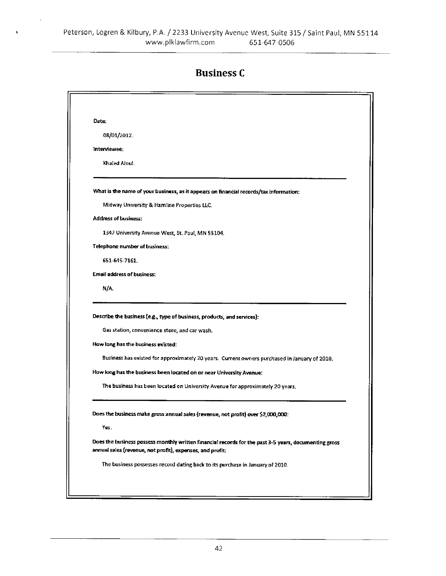# **Business C**

| Date: |                                                                                                                                                                                                                                                                                                                                                                                                                           |
|-------|---------------------------------------------------------------------------------------------------------------------------------------------------------------------------------------------------------------------------------------------------------------------------------------------------------------------------------------------------------------------------------------------------------------------------|
|       | 08/01/2012.                                                                                                                                                                                                                                                                                                                                                                                                               |
|       | interviewee:                                                                                                                                                                                                                                                                                                                                                                                                              |
|       | Khaled Alou!                                                                                                                                                                                                                                                                                                                                                                                                              |
|       | What is the name of your business, as it appears on financial records/tax information:                                                                                                                                                                                                                                                                                                                                    |
|       | Midway University & Hamline Properties LLC.                                                                                                                                                                                                                                                                                                                                                                               |
|       | <b>Address of business:</b>                                                                                                                                                                                                                                                                                                                                                                                               |
|       | 1347 University Avenue West, St. Paul, MN 55104.                                                                                                                                                                                                                                                                                                                                                                          |
|       | Telephone number of business:                                                                                                                                                                                                                                                                                                                                                                                             |
|       | 651-645-7161.                                                                                                                                                                                                                                                                                                                                                                                                             |
|       | Email address of business:                                                                                                                                                                                                                                                                                                                                                                                                |
|       | N/A                                                                                                                                                                                                                                                                                                                                                                                                                       |
|       | Describe the business (e.g., type of business, products, and services):<br>Gas station, convenience store, and car wash.<br>How long has the business existed:<br>Business has existed for approximately 20 years. Current owners purchased in January of 2010.<br>How long has the business been located on or near University Avenue:<br>The business has been located on University Avenue for approximately 20 years. |
|       | Does the business make gross annual sales (revenue, not profit) over \$2,000,000:<br>Yes.                                                                                                                                                                                                                                                                                                                                 |
|       | Does the business possess monthly written financial records for the past 3-5 years, documenting gross<br>annual sales (revenue, not profit), expenses, and profit.                                                                                                                                                                                                                                                        |
|       |                                                                                                                                                                                                                                                                                                                                                                                                                           |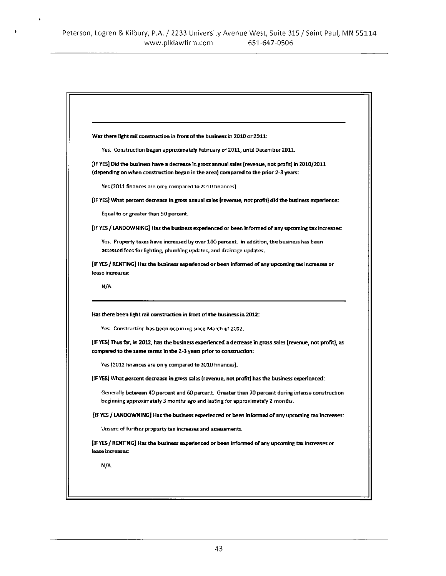$\hat{\mathbf{v}}$ 

 $\pmb{\hat{v}}$ 

| Was there light rail construction in front of the business in 2010 or 2011:                                                                                                                                                                           |
|-------------------------------------------------------------------------------------------------------------------------------------------------------------------------------------------------------------------------------------------------------|
| Yes. Construction began approximately February of 2011, until December 2011.                                                                                                                                                                          |
| IF YES] Did the business have a decrease in gross annual sales (revenue, not profit) in 2010/2011 [<br>(depending on when construction began in the area) compared to the prior 2-3 years;                                                            |
| Yes (2011 finances are only compared to 2010 finances).                                                                                                                                                                                               |
| [IF YES] What percent decrease in gross annual sales (revenue, not profit) did the business experience:                                                                                                                                               |
| Equal to or greater than 50 percent.                                                                                                                                                                                                                  |
| [IF YES / LANDOWNING] Has the business experienced or been informed of any upcoming tax increases:                                                                                                                                                    |
| Yes,Property taxes have increased by over 100 percent. In addition, the business has been<br>assessed fees for lighting, plumbing updates, and drainage updates.                                                                                      |
| [IF YES / RENTING] Has the business experienced or been informed of any upcoming tax increases or<br>lease increases:                                                                                                                                 |
| N/A                                                                                                                                                                                                                                                   |
|                                                                                                                                                                                                                                                       |
| Has there been light rail construction in front of the business in 2012:<br>Yes. Construction has been occurring since March of 2012.<br>[IF YES] Thus far, in 2012, has the business experienced a decrease in gross sales (revenue, not profit), as |
| compared to the same terms in the 2-3 years prior to construction:                                                                                                                                                                                    |
| Yes (2012 finances are only compared to 2010 finances).                                                                                                                                                                                               |
| [IF YES] What percent decrease in gross sales (revenue, not profit) has the business experienced:                                                                                                                                                     |
| Generally between 40 percent and 60 percent. Greater than 70 percent during intense construction<br>beginning approximately 3 months ago and lasting for approximately 2 months.                                                                      |
| [IF YES / LANDOWNING] Has the business experienced or been informed of any upcoming tax increase                                                                                                                                                      |
| Unsure of further property tax increases and assessments.                                                                                                                                                                                             |
| [IF YES / RENTING] Has the business experienced or been informed of any upcoming tax increases or<br>lease increases.                                                                                                                                 |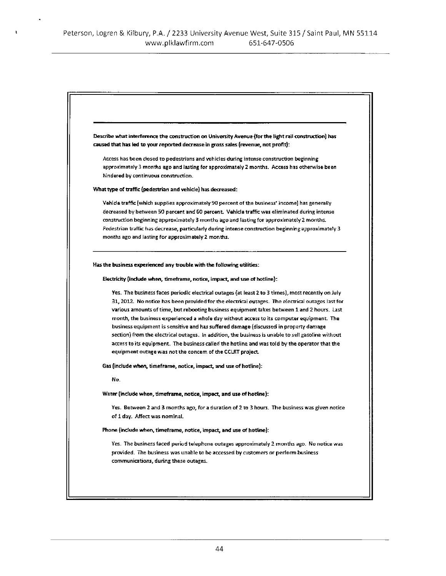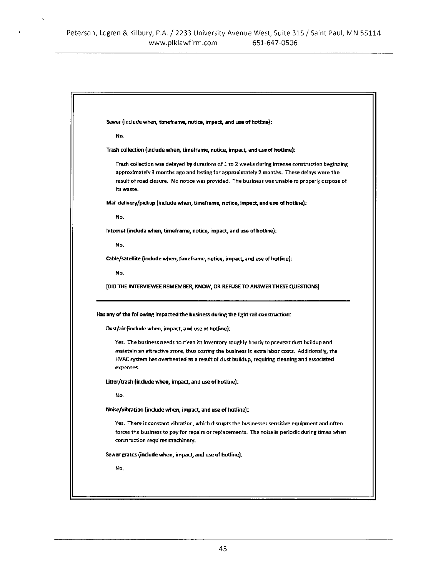$\ddot{\phantom{0}}$ 

| Sewer (include when, timeframe, notice, impact, and use of hotline):                                                                                                                                      |
|-----------------------------------------------------------------------------------------------------------------------------------------------------------------------------------------------------------|
| No.                                                                                                                                                                                                       |
|                                                                                                                                                                                                           |
| Trash collection (include when, timeframe, notice, impact, and use of hotline):                                                                                                                           |
| Trash collection was delayed by durations of 1 to 2 weeks during intense construction beginning.                                                                                                          |
| approximately 3 months ago and lasting for approximately 2 months. These delays were the<br>result of road closure. No notice was provided. The business was unable to properly dispose of                |
| its waste.                                                                                                                                                                                                |
| Mail delivery/pickup (include when, timeframe, notice, impact, and use of hotline):                                                                                                                       |
| No.                                                                                                                                                                                                       |
| internet (include when, timeframe, notice, impact, and use of hotline):                                                                                                                                   |
| No.                                                                                                                                                                                                       |
| Cable/satellite (include when, timeframe, notice, impact, and use of hotline):                                                                                                                            |
| No.                                                                                                                                                                                                       |
|                                                                                                                                                                                                           |
| [DID THE INTERVIEWEE REMEMBER, KNOW, OR REFUSE TO ANSWER THESE QUESTIONS]                                                                                                                                 |
| Has any of the following impacted the business during the light rail construction:                                                                                                                        |
| Dust/air (include when, impact, and use of hotline):                                                                                                                                                      |
| Yes. The business needs to clean its inventory roughly hourly to prevent dust buildup and                                                                                                                 |
| maintain an attractive store, thus costing the business in extra labor costs. Additionally, the<br>HVAC system has overheated as a result of dust buildup, requiring cleaning and associated<br>expenses. |
| Litter/trash (include when, impact, and use of hotline):                                                                                                                                                  |
| No.                                                                                                                                                                                                       |
| Noise/vibration (include when, impact, and use of hotline):                                                                                                                                               |
| Yes. There is constant vibration, which disrupts the businesses sensitive equipment and often                                                                                                             |
| forces the business to pay for repairs or replacements. The noise is periodic during times when                                                                                                           |
| construction requires machinery.                                                                                                                                                                          |
| Sewer grates (include when, impact, and use of hotline):                                                                                                                                                  |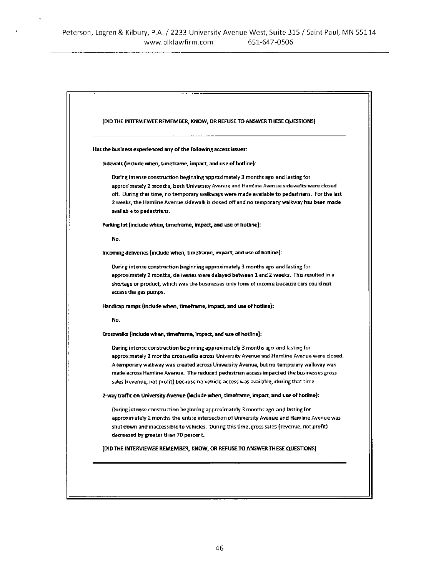ł,

| [DID THE INTERVIEWEE REMEMBER, KNOW, OR REFUSE TO ANSWER THESE QUESTIONS]                     |
|-----------------------------------------------------------------------------------------------|
| Has the business experienced any of the following access issues:                              |
| Sidewalk (include when, timeframe, impact, and use of hotline):                               |
| During intense construction beginning approximately 3 months ago and lasting for              |
| approximately 2 months, both University Avenue and Hamline Avenue sidewalks were closed       |
| off. During that time, no temporary walkways were made available to pedestrians. For the last |
| 2 weeks, the Hamiine Avenue sidewalk is closed off and no temporary walkway has been made     |
| available to pedestrians.                                                                     |
| Parking lot (include when, timeframe, impact, and use of hotline):                            |
| No.                                                                                           |
| incoming deliveries (include when, timeframe, impact, and use of hotline):                    |
| During intense construction beginning approximately 3 months ago and lasting for              |
| approximately 2 months, deliveries were delayed between 1 and 2 weeks. This resulted in a     |
| shortage or product, which was the businesses only form of income because cars could not      |
| access the gas pumps.                                                                         |
| Handicap ramps (include when, timeframe, impact, and use of hotline):                         |
| No.                                                                                           |
| Crosswalks (include when, timeframe, impact, and use of hotline):                             |
| During intense construction beginning approximately 3 months ago and lasting for              |
| approximately 2 months crosswalks across University Avenue and Hamline Avenue were closed.    |
| A temporary walkway was created across University Avenue, but no temporary walkway was        |
| made across Hamline Avenue. The reduced pedestrian access impacted the businesses gross       |
| sales (revenue, not profit) because no vehicle access was available, during that time.        |
| 2-way traffic on University Avenue (include when, timeframe, impact, and use of hotline):     |
| During intense construction beginning approximately 3 months ago and lasting for              |
| approximately 2 months the entire intersection of University Avenue and Hamline Avenue was    |
| shut down and inaccessible to vehicles. During this time, gross sales (revenue, not profit)   |
| decreased by greater than 70 percent.                                                         |
| [DID THE INTERVIEWEE REMEMBER, KNOW, OR REFUSE TO ANSWER THESE QUESTIONS]                     |
|                                                                                               |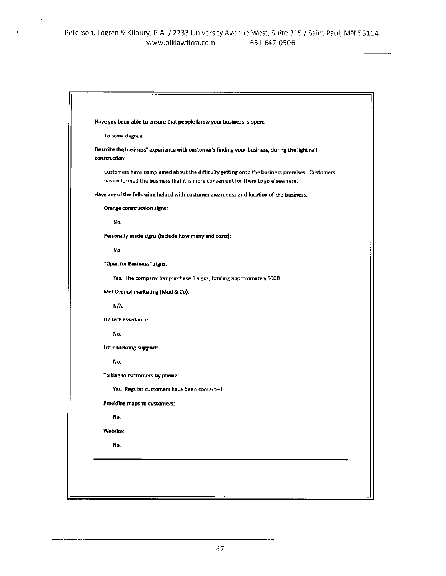$\ddot{\phantom{1}}$ 

 $\mathbf{t}$ 

| Have you been able to ensure that people know your business is open:                                                                                                            |
|---------------------------------------------------------------------------------------------------------------------------------------------------------------------------------|
| To some degree.                                                                                                                                                                 |
| Describe the business' experience with customer's finding your business, during the light rail<br>construction:                                                                 |
| Customers have complained about the difficulty getting onto the business premises. Customers<br>have informed the business that it is more convenient for them to go elsewhere. |
| Have any of the following helped with customer awareness and location of the business:                                                                                          |
| Orange construction signs:                                                                                                                                                      |
| No.                                                                                                                                                                             |
| Personally made signs (include how many and costs):                                                                                                                             |
| No.                                                                                                                                                                             |
| "Open for Business" signs:                                                                                                                                                      |
| Yes. The company has purchase 3 signs, totaling approximately \$600.                                                                                                            |
| Met Council marketing (Mod & Co):                                                                                                                                               |
| N/A                                                                                                                                                                             |
| U7 tech assistance:                                                                                                                                                             |
| No.                                                                                                                                                                             |
| Little Mekong support:                                                                                                                                                          |
| No.                                                                                                                                                                             |
| Talking to customers by phone:                                                                                                                                                  |
| Yes. Regular customers have been contacted.                                                                                                                                     |
| Providing maps to customers:                                                                                                                                                    |
| No.                                                                                                                                                                             |
| <b>Website:</b>                                                                                                                                                                 |
| No.                                                                                                                                                                             |
|                                                                                                                                                                                 |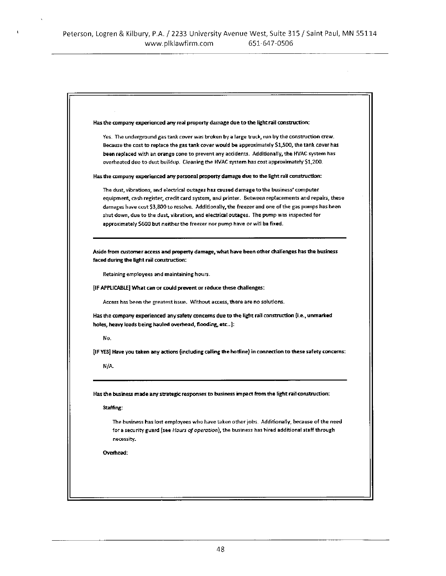$\ddot{\phantom{1}}$ 

| Has the company experienced any real property damage due to the light rail construction:                                                                                                                     |
|--------------------------------------------------------------------------------------------------------------------------------------------------------------------------------------------------------------|
| Yes. The underground gas tank cover was broken by a large truck, run by the construction crew.                                                                                                               |
| Because the cost to replace the gas tank cover would be approximately \$1,500, the tank cover has                                                                                                            |
| been replaced with an orange cone to prevent any accidents. Additionally, the HVAC system has                                                                                                                |
| overheated due to dust buildup. Cleaning the HVAC system has cost approximately \$1,200.                                                                                                                     |
| Has the company experienced any personal property damage due to the light rail construction:                                                                                                                 |
| The dust, vibrations, and electrical outages has caused damage to the business' computer                                                                                                                     |
| equipment, cash register, credit card system, and printer. Between replacements and repairs, these                                                                                                           |
| damages have cost \$3,800 to resolve. Additionally, the freezer and one of the gas pumps has been                                                                                                            |
| shut down, due to the dust, vibration, and electrical outages. The pump was inspected for                                                                                                                    |
| approximately \$600 but neither the freezer nor pump have or will be fixed.                                                                                                                                  |
| Aside from customer access and property damage, what have been other challenges has the business                                                                                                             |
| faced during the light rail construction:                                                                                                                                                                    |
| Retaining employees and maintaining hours.                                                                                                                                                                   |
| [IF APPLICABLE] What can or could prevent or reduce these challenges:                                                                                                                                        |
| Access has been the greatest issue. Without access, there are no solutions.                                                                                                                                  |
| Has the company experienced any safety concerns due to the light rail construction (i.e., unmarked                                                                                                           |
| holes, heavy loads being hauled overhead, flooding, etc):                                                                                                                                                    |
| No.                                                                                                                                                                                                          |
| [IF YES] Have you taken any actions (including calling the hotline) in connection to these safety concerns:                                                                                                  |
| N/A                                                                                                                                                                                                          |
|                                                                                                                                                                                                              |
| Has the business made any strategic responses to business impact from the light rail construction:                                                                                                           |
| Staffing:                                                                                                                                                                                                    |
| The business has lost employees who have taken other jobs. Additionally, because of the need<br>for a security guard (see Hours of operation), the business has hired additional staff through<br>necessity. |
| Overhead:                                                                                                                                                                                                    |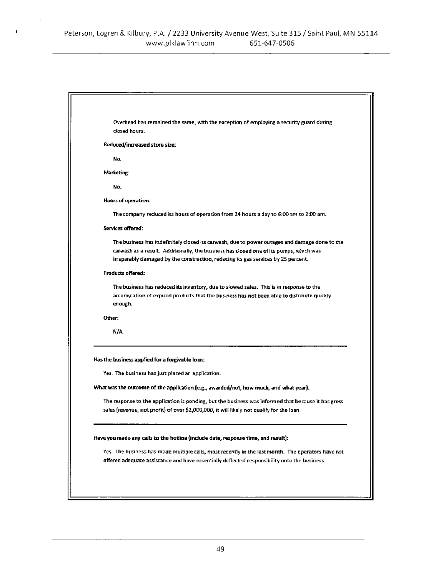$\pmb{\cdot}$ 

| Overhead has remained the same, with the exception of employing a security guard during<br>dosed hours.                                                                     |
|-----------------------------------------------------------------------------------------------------------------------------------------------------------------------------|
| Reduced/increased store size:                                                                                                                                               |
| No.                                                                                                                                                                         |
| Marketing:                                                                                                                                                                  |
| No.                                                                                                                                                                         |
| Hours of operation:                                                                                                                                                         |
| The company reduced its hours of operation from 24 hours a day to 6:00 am to 2:00 am.                                                                                       |
| Services offered:                                                                                                                                                           |
| The business has indefinitely closed its carwash, due to power outages and damage done to the                                                                               |
| carwash as a result. Additionally, the business has closed one of its pumps, which was<br>irreparably damaged by the construction, reducing its gas services by 25 percent. |
| <b>Products offered:</b>                                                                                                                                                    |
| The business has reduced its inventory, due to slowed sales. This is in response to the                                                                                     |
| accumulation of expired products that the business has not been able to distribute quickly                                                                                  |
| enough                                                                                                                                                                      |
| Other:                                                                                                                                                                      |
| N/A                                                                                                                                                                         |
|                                                                                                                                                                             |
| Has the business applied for a forgivable loan:                                                                                                                             |
| Yes. The business has just placed an application.                                                                                                                           |
| What was the outcome of the application (e.g., awarded/not, how much, and what year):                                                                                       |
| The response to the application is pending, but the business was informed that because it has gross                                                                         |
| sales (revenue, not profit) of over \$2,000,000, it will likely not qualify for the loan.                                                                                   |
|                                                                                                                                                                             |
| Have you made any calls to the hotline (include date, response time, and result):                                                                                           |
| Yes. The business has made mustiple calls, most recently in the last month. The operators have not                                                                          |
| offered adequate assistance and have essentially deflected responsibility onto the business.                                                                                |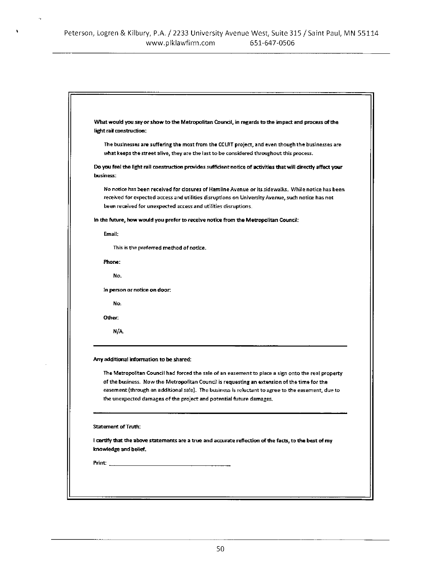$\tilde{\alpha}$ 

 $\lambda$ 

| What would you say or show to the Metropolitan Council, in regards to the impact and process of the<br>light rail construction;                                                                                                                                                                                                                                                |
|--------------------------------------------------------------------------------------------------------------------------------------------------------------------------------------------------------------------------------------------------------------------------------------------------------------------------------------------------------------------------------|
| The businesses are suffering the most from the CCLRT project, and even though the businesses are<br>what keeps the street alive, they are the last to be considered throughout this process.                                                                                                                                                                                   |
| Do you feel the light rail construction provides sufficient notice of activities that will directly affect your<br>business:                                                                                                                                                                                                                                                   |
| No notice has been received for closures of Hamline Avenue or its sidewalks. While notice has been<br>received for expected access and utilities disruptions on University Avenue, such notice has not<br>been received for unexpected access and utilities disruptions.                                                                                                       |
| In the future, how would you prefer to receive notice from the Metropolitan Council:                                                                                                                                                                                                                                                                                           |
| Email:                                                                                                                                                                                                                                                                                                                                                                         |
| This is the preferred method of notice.                                                                                                                                                                                                                                                                                                                                        |
| Phone:                                                                                                                                                                                                                                                                                                                                                                         |
| No.                                                                                                                                                                                                                                                                                                                                                                            |
| In person or notice on door:                                                                                                                                                                                                                                                                                                                                                   |
| No.                                                                                                                                                                                                                                                                                                                                                                            |
| Other:                                                                                                                                                                                                                                                                                                                                                                         |
| N/A                                                                                                                                                                                                                                                                                                                                                                            |
| Any additional information to be shared:                                                                                                                                                                                                                                                                                                                                       |
| The Metropolitan Council had forced the sale of an easement to place a sign onto the real property<br>of the business. Now the Metropolitan Council is requesting an extension of the time for the<br>easement (through an additional sale). The business is reluctant to agree to the easement, due to<br>the unexpected damages of the project and potential future damages. |
| Statement of Truth:                                                                                                                                                                                                                                                                                                                                                            |
| I certify that the above statements are a true and accurate reflection of the facts, to the best of my<br>knowledge and belief.                                                                                                                                                                                                                                                |
|                                                                                                                                                                                                                                                                                                                                                                                |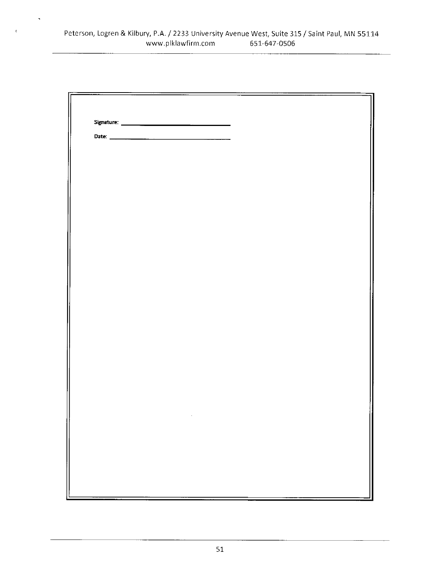$\hat{\mathbf{v}}$ 

 $\mathfrak{c}$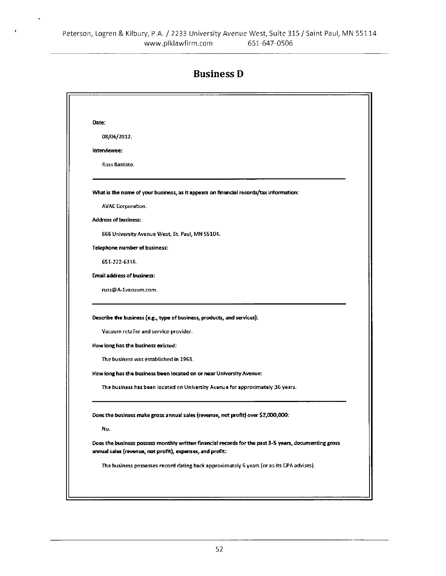$\hat{\mathbf{r}}$ 

#### **Business D**

| Date: |                                                                                                                                                                                                                                                                                                                                                           |
|-------|-----------------------------------------------------------------------------------------------------------------------------------------------------------------------------------------------------------------------------------------------------------------------------------------------------------------------------------------------------------|
|       | 08/06/2012.                                                                                                                                                                                                                                                                                                                                               |
|       | interviewee:                                                                                                                                                                                                                                                                                                                                              |
|       | <b>Russ Battisto.</b>                                                                                                                                                                                                                                                                                                                                     |
|       | What is the name of your business, as it appears on financial records/tax information:                                                                                                                                                                                                                                                                    |
|       | <b>AVAC Corporation.</b>                                                                                                                                                                                                                                                                                                                                  |
|       | <b>Address of business:</b>                                                                                                                                                                                                                                                                                                                               |
|       | 666 University Avenue West, St. Paul, MN 55104.                                                                                                                                                                                                                                                                                                           |
|       | <b>Telephone number of business:</b>                                                                                                                                                                                                                                                                                                                      |
|       | 651-222-6316                                                                                                                                                                                                                                                                                                                                              |
|       | <b>Email address of business:</b>                                                                                                                                                                                                                                                                                                                         |
|       | russ@A-Ivacuum.com.                                                                                                                                                                                                                                                                                                                                       |
|       | Describe the business (e.g., type of business, products, and services):<br>Vacuum retailer and service provider.<br>How long has the business existed:<br>The business was established in 1963.<br>How long has the business been located on or near University Avenue:<br>The business has been located on University Avenue for approximately 36 years. |
|       | Does the business make gross annual sales (revenue, not profit) over \$2,000,000:<br>No.                                                                                                                                                                                                                                                                  |
|       | Does the business possess monthly written financial records for the past 3-5 years, documenting gross<br>annual sales (revenue, not profit), expenses, and profit:                                                                                                                                                                                        |
|       | The business possesses record dating back approximately 6 years (or as its CPA advises).                                                                                                                                                                                                                                                                  |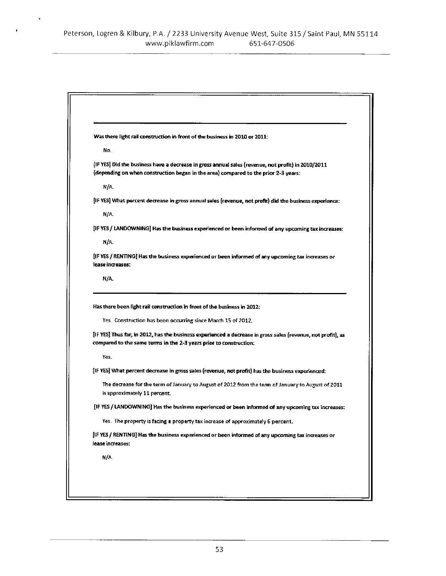|                  | Was there light rail construction in front of the business in 2010 or 2011:                                                                                                              |
|------------------|------------------------------------------------------------------------------------------------------------------------------------------------------------------------------------------|
| No.              |                                                                                                                                                                                          |
|                  | IF YES] Did the business have a decrease in gross annual sales (revenue, not profit) in 2010/2011<br>(depending on when construction began in the area) compared to the prior 2-3 years: |
| N/A              |                                                                                                                                                                                          |
|                  | [IF YES] What percent decrease in gross annual sales (revenue, not profit) did the business experience:                                                                                  |
| N/A              |                                                                                                                                                                                          |
|                  | [IF YES / LANDOWNING] Has the business experienced or been informed of any upcoming tax increases:                                                                                       |
| N/A              |                                                                                                                                                                                          |
|                  | [IF YES / RENTING] Has the business experienced or been informed of any upcoming tax increases or                                                                                        |
|                  |                                                                                                                                                                                          |
| N/A              | Has there been light rail construction in front of the business in 2012:                                                                                                                 |
|                  | Yes. Construction has been occurring since March 15 of 2012.<br>[IF YES] Thus far, in 2012, has the business experienced a decrease in gross sales (revenue, not profit), as             |
|                  | compared to the same terms in the 2-3 years prior to construction:                                                                                                                       |
| Yes.             |                                                                                                                                                                                          |
|                  | [IF YES] What percent decrease in gross sales (revenue, not profit) has the business experienced:                                                                                        |
| lease increases: | The decrease for the term of January to August of 2012 from the term of January to August of 2011<br>is approximately 11 percent.                                                        |
|                  | [IF YES / LANDOWNING] Has the business experienced or been informed of any upcoming tax increases:                                                                                       |
|                  | Yes. The property is facing a property tax increase of approximately 6 percent.                                                                                                          |
| lease increases: | [IF YES / RENTING] Has the business experienced or been informed of any upcoming tax increases or                                                                                        |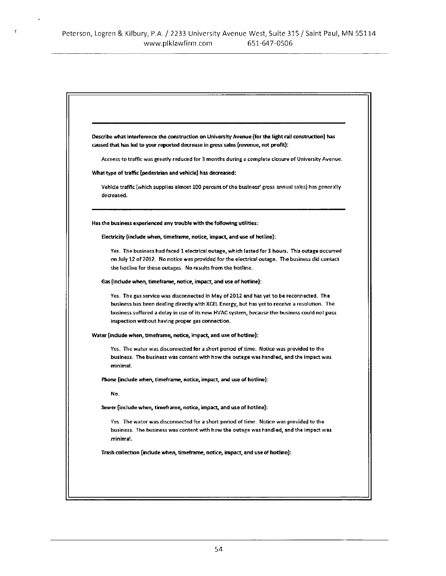$\mathcal{A}$ 

 $\bar{\epsilon}$ 

| Describe what interference the construction on University Avenue (for the light rail construction) has                                                                                                                                                                                                                                       |
|----------------------------------------------------------------------------------------------------------------------------------------------------------------------------------------------------------------------------------------------------------------------------------------------------------------------------------------------|
| caused that has led to your reported decrease in gross sales (revenue, not profit):                                                                                                                                                                                                                                                          |
| Acceess to traffic was greatly reduced for 3 months during a complete closure of University Avenue.                                                                                                                                                                                                                                          |
| What type of traffic (pedestrian and vehicle) has decreased:                                                                                                                                                                                                                                                                                 |
| Vehicle traffic (which supplies almost 100 percent of the business' gross annual sales) has generally<br>decreased.                                                                                                                                                                                                                          |
| Has the business experienced any trouble with the following utilities:                                                                                                                                                                                                                                                                       |
| Electricity (include when, timeframe, notice, impact, and use of hotline):                                                                                                                                                                                                                                                                   |
| Yes. The business had faced 1 electrical outage, which lasted for 3 hours. This outage occurred<br>on July 12 of 2012. No notice was provided for the electrical outage. The business did contact                                                                                                                                            |
| the hotline for these outages. No results from the hotline.                                                                                                                                                                                                                                                                                  |
| Gas finclude when, timeframe, notice, impact, and use of hotline):                                                                                                                                                                                                                                                                           |
| Yes. The gas service was disconnected in May of 2012 and has yet to be reconnected. The<br>business has been dealing directly with XCEL Energy, but has yet to receive a resolution. The<br>business suffered a delay in use of its new HVAC system, because the business could not pass<br>inspection without having proper gas connection. |
| Water (include when, timeframe, notice, impact, and use of hotline):                                                                                                                                                                                                                                                                         |
| Yes. The water was disconnected for a short period of time. Notice was provided to the<br>business. The business was content with how the outage was handled, and the impact was<br>minimal.                                                                                                                                                 |
| Phone (include when, timeframe, notice, impact, and use of hotline):                                                                                                                                                                                                                                                                         |
| No.                                                                                                                                                                                                                                                                                                                                          |
| Sewer (include when, timeframe, notice, impact, and use of hotline):                                                                                                                                                                                                                                                                         |
| Yes. The water was disconnected for a short period of time. Notice was provided to the<br>business. The business was content with how the outage was handled, and the impact was<br>minimai.                                                                                                                                                 |
| Trash collection (include when, timeframe, notice, impact, and use of hotline):                                                                                                                                                                                                                                                              |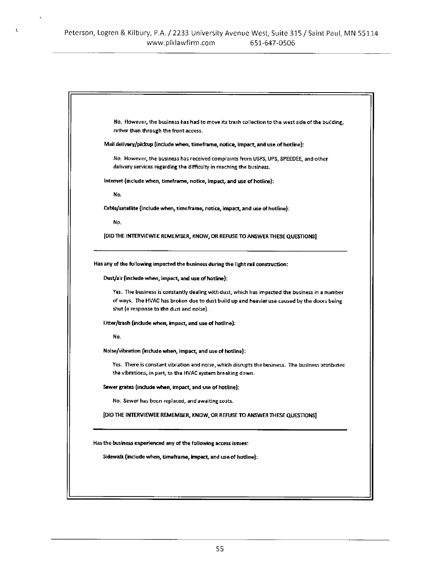$\bar{J}$ 

 $\mathbf{t}$ 

| No. However, the business has had to move its trash collection to the west side of the building,<br>rather than through the front access.                      |
|----------------------------------------------------------------------------------------------------------------------------------------------------------------|
| Mail delivery/pickup (include when, timeframe, notice, impact, and use of hotline):                                                                            |
| No. However, the business has received complaints from USPS, UPS, SPEEDEE, and other<br>delivery services regarding the difficulty in reaching the business.   |
| Internet (include when, timeframe, notice, impact, and use of hotline):                                                                                        |
| No.                                                                                                                                                            |
| Cable/satellite (include when, timeframe, notice, impact, and use of hotline):                                                                                 |
| No.                                                                                                                                                            |
| [DID THE INTERVIEWEE REMEMBER, KNOW, OR REFUSE TO ANSWER THESE QUESTIONS]                                                                                      |
| Has any of the following impacted the business during the light rail construction:                                                                             |
| Dust/air (include when, impact, and use of hotline):                                                                                                           |
| Yes. The business is constantly dealing with dust, which has impacted the business in a number                                                                 |
| of ways. The HVAC has broken due to dust build up and heavier use caused by the doors being<br>shut (a response to the dust and noise).                        |
| Litter/trash (include when, impact, and use of hotline):                                                                                                       |
| No.                                                                                                                                                            |
| Noise/vibration (include when, impact, and use of hotline):                                                                                                    |
| Yes. There is constant vibration and noise, which disrupts the business. The business attributes<br>the vibrations, in part, to the HVAC system breaking down. |
| Sewer grates (include when, impact, and use of hotline):                                                                                                       |
| No. Sewer has been replaced, and awaiting costs.                                                                                                               |
| [DID THE INTERVIEWEE REMEMBER, KNOW, OR REFUSE TO ANSWER THESE QUESTIONS]                                                                                      |
| Has the business experienced any of the following access issues:                                                                                               |
| Sidewalk (include when, timeframe, impact, and use of hotline);                                                                                                |
|                                                                                                                                                                |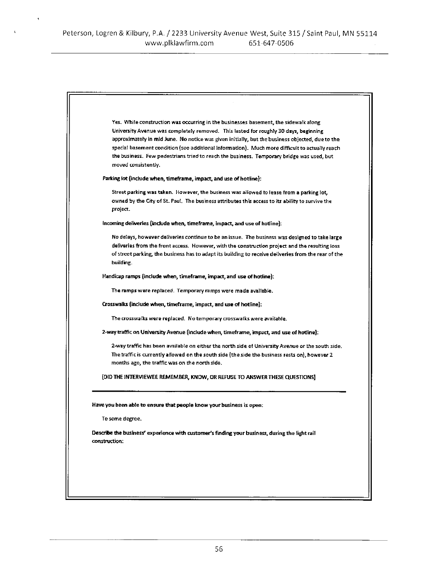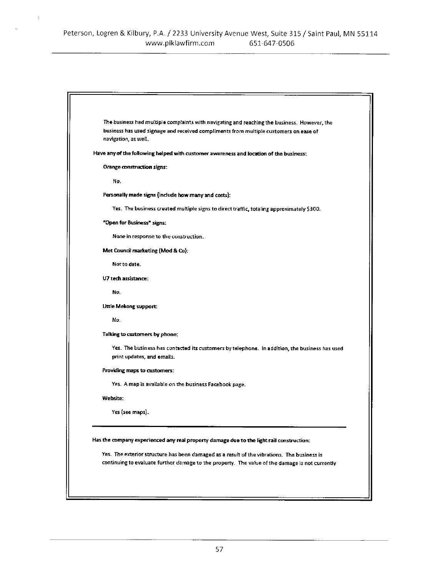ŀ,

| The business had multiple complaints with navigating and reaching the business. However, the<br>business has used signage and received compliments from multiple customers on ease of<br>navigation, as well. |
|---------------------------------------------------------------------------------------------------------------------------------------------------------------------------------------------------------------|
| Have any of the following helped with customer awareness and location of the business:                                                                                                                        |
| Orange construction signs:                                                                                                                                                                                    |
| No.                                                                                                                                                                                                           |
| Personally made signs (include how many and costs):                                                                                                                                                           |
| Yes. The business created multiple signs to direct traffic, totaling approximately \$300.                                                                                                                     |
| "Open for Business" signs:                                                                                                                                                                                    |
| None in response to the construction.                                                                                                                                                                         |
| Met Council marketing (Mod & Co):                                                                                                                                                                             |
| Not to date.                                                                                                                                                                                                  |
| U7 tech assistance:                                                                                                                                                                                           |
| No.                                                                                                                                                                                                           |
| Little Mekong support:                                                                                                                                                                                        |
| No.                                                                                                                                                                                                           |
| Talking to customers by phone:                                                                                                                                                                                |
| Yes. The business has contacted its customers by telephone. In addition, the business has used<br>print updates, and emails.                                                                                  |
| Providing maps to customers:                                                                                                                                                                                  |
| Yes. A map is available on the business Facebook page.                                                                                                                                                        |
| <b>Website:</b>                                                                                                                                                                                               |
| Yes (see maps).                                                                                                                                                                                               |
| Has the company experienced any real property damage due to the light rail construction:                                                                                                                      |
| Yes. The exterior structure has been damaged as a result of the vibrations. The business is<br>continuing to evaluate further damage to the property. The value of the damage is not currently                |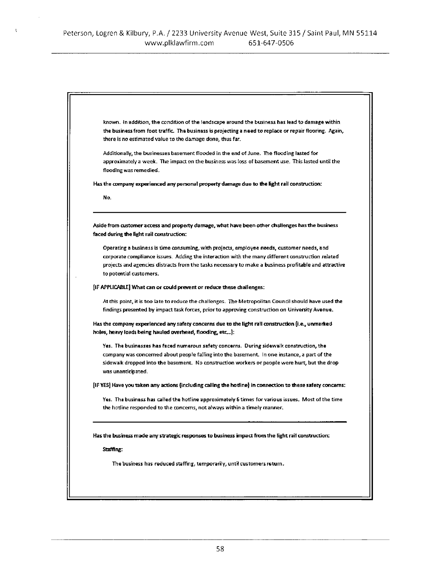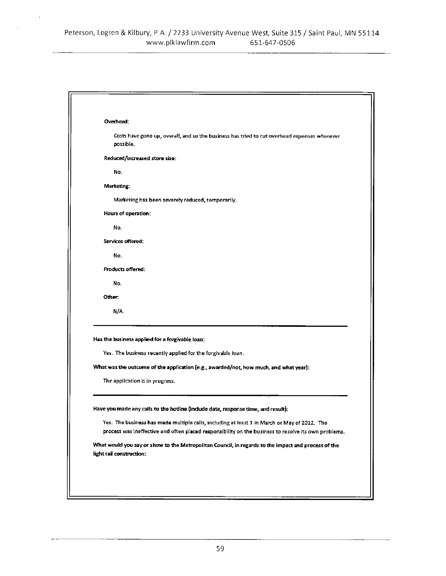| Overhead:                                                                                                                                                                                                                                                                                 |
|-------------------------------------------------------------------------------------------------------------------------------------------------------------------------------------------------------------------------------------------------------------------------------------------|
| Costs have gone up, overall, and so the business has tried to cut overhead expenses wherever<br>possible.                                                                                                                                                                                 |
| Reduced/increased store size:                                                                                                                                                                                                                                                             |
| No.                                                                                                                                                                                                                                                                                       |
| Marketing:                                                                                                                                                                                                                                                                                |
| Marketing has been severely reduced, temporarily.                                                                                                                                                                                                                                         |
| Hours of operation:                                                                                                                                                                                                                                                                       |
| No.                                                                                                                                                                                                                                                                                       |
| Services offered:                                                                                                                                                                                                                                                                         |
| No.                                                                                                                                                                                                                                                                                       |
| <b>Products offered:</b>                                                                                                                                                                                                                                                                  |
| No.                                                                                                                                                                                                                                                                                       |
| Other:                                                                                                                                                                                                                                                                                    |
| N/A                                                                                                                                                                                                                                                                                       |
| Has the business applied for a forgivable loan:<br>Yes. The business recently applied for the forgivable loan.<br>What was the outcome of the application (e.g., awarded/not, how much, and what year):<br>The application is in progress.                                                |
| Have you made any calls to the hotline (include date, response time, and result):<br>Yes. The business has made multiple calls, including at least 1 in March or May of 2012. The<br>process was ineffective and often placed responsibility on the business to resolve its own problems. |
| What would you say or show to the Metropolitan Council, in regards to the impact and process of the<br>light rail construction:                                                                                                                                                           |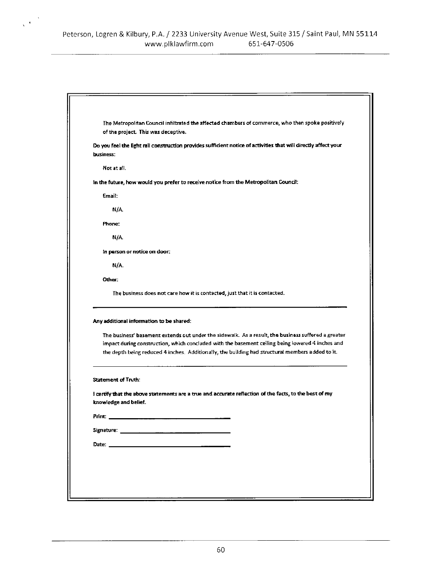$\sqrt{3}$ 

|       | The Metropolitan Council infiltrated the affected chambers of commerce, who then spoke positively                                                                                                       |
|-------|---------------------------------------------------------------------------------------------------------------------------------------------------------------------------------------------------------|
|       | of the project. This was deceptive.                                                                                                                                                                     |
|       | Do you feel the light rail construction provides sufficient notice of activities that will directly affect your<br>business:                                                                            |
|       | Not at all.                                                                                                                                                                                             |
|       | in the future, how would you prefer to receive notice from the Metropolitan Council:                                                                                                                    |
|       | Email:                                                                                                                                                                                                  |
|       | N/A                                                                                                                                                                                                     |
|       | Phone:                                                                                                                                                                                                  |
|       | N/A                                                                                                                                                                                                     |
|       | in person or notice on door:                                                                                                                                                                            |
|       | N/A.                                                                                                                                                                                                    |
|       | Other:                                                                                                                                                                                                  |
|       | The business does not care how it is contacted, just that it is contacted.                                                                                                                              |
|       | Any additional information to be shared:                                                                                                                                                                |
|       | The business' basement extends out under the sidewalk. As a result, the business suffered a greater<br>impact during construction, which concluded with the basement ceiling being lowered 4 inches and |
|       | the depth being reduced 4 inches. Additionally, the building had structural members added to it.                                                                                                        |
|       | <b>Statement of Truth:</b>                                                                                                                                                                              |
|       | I certify that the above statements are a true and accurate reflection of the facts, to the best of my                                                                                                  |
|       | knowledge and belief.                                                                                                                                                                                   |
| Print |                                                                                                                                                                                                         |
|       |                                                                                                                                                                                                         |
|       |                                                                                                                                                                                                         |
|       |                                                                                                                                                                                                         |
|       |                                                                                                                                                                                                         |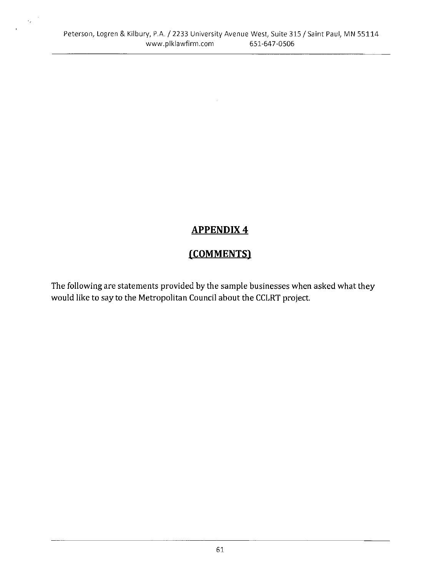$\epsilon_x$ 

# **APPENDIX4**

# (COMMENTS)

The following are statements provided by the sample businesses when asked what they would like to say to the Metropolitan Council about the CCLRT project.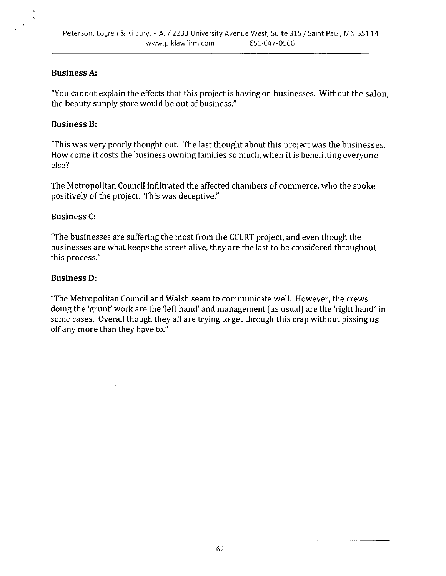#### **Business A:**

"You cannot explain the effects that this project is having on businesses. Without the salon, the beauty supply store would be out of business."

#### **Business B:**

"This was very poorly thought out. The last thought about this project was the businesses. How come it costs the business owning families so much, when it is benefitting everyone else?

The Metropolitan Council infiltrated the affected chambers of commerce, who the spoke positively of the project. This was deceptive."

#### **Business C:**

"The businesses are suffering the most from the CCLRT project, and even though the businesses are what keeps the street alive, they are the last to be considered throughout this process."

#### **Business D:**

"The Metropolitan Council and Walsh seem to communicate well. However, the crews doing the 'grunt' work are the 'left hand' and management (as usual) are the 'right hand' in some cases. Overall though they all are trying to get through this crap without pissing us off any more than they have to."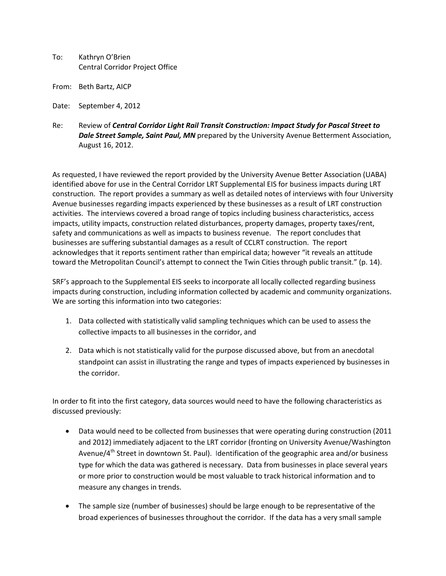- To: Kathryn O'Brien Central Corridor Project Office
- From: Beth Bartz, AICP
- Date: September 4, 2012
- Re: Review of *Central Corridor Light Rail Transit Construction: Impact Study for Pascal Street to Dale Street Sample, Saint Paul, MN* prepared by the University Avenue Betterment Association, August 16, 2012.

As requested, I have reviewed the report provided by the University Avenue Better Association (UABA) identified above for use in the Central Corridor LRT Supplemental EIS for business impacts during LRT construction. The report provides a summary as well as detailed notes of interviews with four University Avenue businesses regarding impacts experienced by these businesses as a result of LRT construction activities. The interviews covered a broad range of topics including business characteristics, access impacts, utility impacts, construction related disturbances, property damages, property taxes/rent, safety and communications as well as impacts to business revenue. The report concludes that businesses are suffering substantial damages as a result of CCLRT construction. The report acknowledges that it reports sentiment rather than empirical data; however "it reveals an attitude toward the Metropolitan Council's attempt to connect the Twin Cities through public transit." (p. 14).

SRF's approach to the Supplemental EIS seeks to incorporate all locally collected regarding business impacts during construction, including information collected by academic and community organizations. We are sorting this information into two categories:

- 1. Data collected with statistically valid sampling techniques which can be used to assess the collective impacts to all businesses in the corridor, and
- 2. Data which is not statistically valid for the purpose discussed above, but from an anecdotal standpoint can assist in illustrating the range and types of impacts experienced by businesses in the corridor.

In order to fit into the first category, data sources would need to have the following characteristics as discussed previously:

- Data would need to be collected from businesses that were operating during construction (2011 and 2012) immediately adjacent to the LRT corridor (fronting on University Avenue/Washington Avenue/4<sup>th</sup> Street in downtown St. Paul). Identification of the geographic area and/or business type for which the data was gathered is necessary. Data from businesses in place several years or more prior to construction would be most valuable to track historical information and to measure any changes in trends.
- The sample size (number of businesses) should be large enough to be representative of the broad experiences of businesses throughout the corridor. If the data has a very small sample